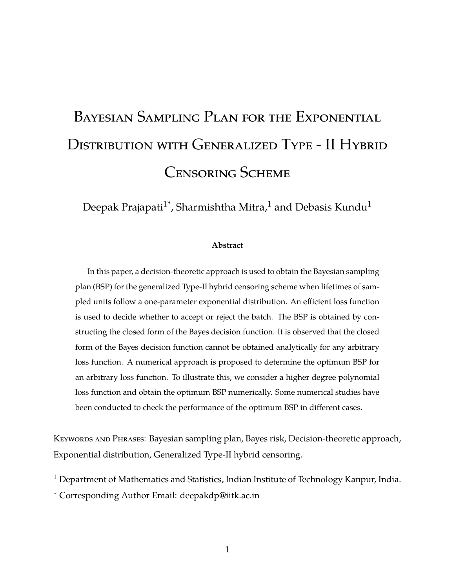# Bayesian Sampling Plan for the Exponential DISTRIBUTION WITH GENERALIZED TYPE - II HYBRID Censoring Scheme

Deepak Prajapati<sup>1\*</sup>, Sharmishtha Mitra,<sup>1</sup> and Debasis Kundu<sup>1</sup>

#### **Abstract**

In this paper, a decision-theoretic approach is used to obtain the Bayesian sampling plan (BSP) for the generalized Type-II hybrid censoring scheme when lifetimes of sampled units follow a one-parameter exponential distribution. An efficient loss function is used to decide whether to accept or reject the batch. The BSP is obtained by constructing the closed form of the Bayes decision function. It is observed that the closed form of the Bayes decision function cannot be obtained analytically for any arbitrary loss function. A numerical approach is proposed to determine the optimum BSP for an arbitrary loss function. To illustrate this, we consider a higher degree polynomial loss function and obtain the optimum BSP numerically. Some numerical studies have been conducted to check the performance of the optimum BSP in different cases.

KEYWORDS AND PHRASES: Bayesian sampling plan, Bayes risk, Decision-theoretic approach, Exponential distribution, Generalized Type-II hybrid censoring.

<sup>1</sup> Department of Mathematics and Statistics, Indian Institute of Technology Kanpur, India.

<sup>∗</sup> Corresponding Author Email: deepakdp@iitk.ac.in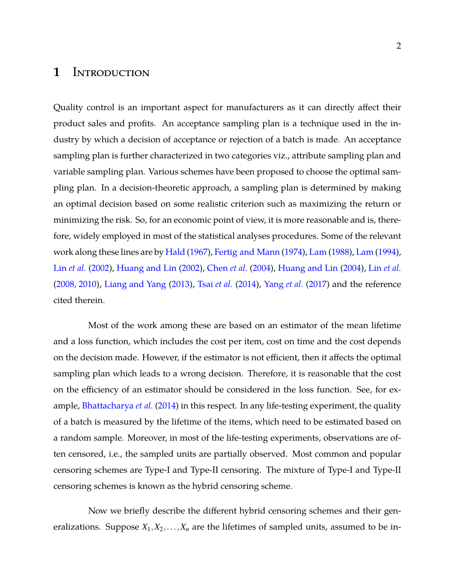### **1** Introduction

Quality control is an important aspect for manufacturers as it can directly affect their product sales and profits. An acceptance sampling plan is a technique used in the industry by which a decision of acceptance or rejection of a batch is made. An acceptance sampling plan is further characterized in two categories viz., attribute sampling plan and variable sampling plan. Various schemes have been proposed to choose the optimal sampling plan. In a decision-theoretic approach, a sampling plan is determined by making an optimal decision based on some realistic criterion such as maximizing the return or minimizing the risk. So, for an economic point of view, it is more reasonable and is, therefore, widely employed in most of the statistical analyses procedures. Some of the relevant work along these lines are by [Hald](#page-35-0) [\(1967](#page-35-0)), [Fertig and Mann](#page-35-1) [\(1974\)](#page-35-1), [Lam](#page-35-2) [\(1988\)](#page-35-2), [Lam](#page-36-0) [\(1994](#page-36-0)), Lin *[et al.](#page-36-1)* [\(2002\)](#page-36-1), [Huang and Lin](#page-35-3) [\(2002\)](#page-35-3), [Chen](#page-35-4) *et al.* [\(2004](#page-35-4)), [Huang and Lin](#page-35-5) [\(2004\)](#page-35-5), Lin *[et al.](#page-36-2)* [\(2008, 2010\)](#page-36-2), [Liang and Yang](#page-36-3) [\(2013](#page-36-3)), Tsai *[et al.](#page-37-0)* [\(2014\)](#page-37-0), [Yang](#page-36-4) *et al.* [\(2017\)](#page-36-4) and the reference cited therein.

Most of the work among these are based on an estimator of the mean lifetime and a loss function, which includes the cost per item, cost on time and the cost depends on the decision made. However, if the estimator is not efficient, then it affects the optimal sampling plan which leads to a wrong decision. Therefore, it is reasonable that the cost on the efficiency of an estimator should be considered in the loss function. See, for example, [Bhattacharya](#page-34-0) *et al.* [\(2014\)](#page-34-0) in this respect. In any life-testing experiment, the quality of a batch is measured by the lifetime of the items, which need to be estimated based on a random sample. Moreover, in most of the life-testing experiments, observations are often censored, i.e., the sampled units are partially observed. Most common and popular censoring schemes are Type-I and Type-II censoring. The mixture of Type-I and Type-II censoring schemes is known as the hybrid censoring scheme.

Now we briefly describe the different hybrid censoring schemes and their generalizations. Suppose  $X_1, X_2, \ldots, X_n$  are the lifetimes of sampled units, assumed to be in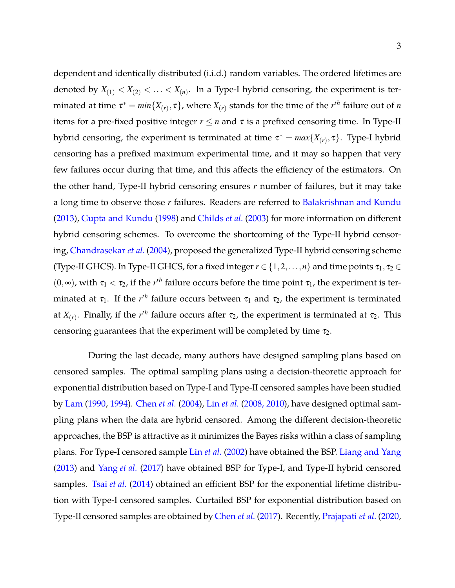dependent and identically distributed (i.i.d.) random variables. The ordered lifetimes are denoted by  $X_{(1)} < X_{(2)} < \ldots < X_{(n)}$ . In a Type-I hybrid censoring, the experiment is terminated at time  $\tau^* = min\{X_{(r)}, \tau\}$ , where  $X_{(r)}$  stands for the time of the  $r^{th}$  failure out of *n* items for a pre-fixed positive integer  $r \leq n$  and  $\tau$  is a prefixed censoring time. In Type-II hybrid censoring, the experiment is terminated at time  $\tau^* = max\{X_{(r)}, \tau\}$ . Type-I hybrid censoring has a prefixed maximum experimental time, and it may so happen that very few failures occur during that time, and this affects the efficiency of the estimators. On the other hand, Type-II hybrid censoring ensures *r* number of failures, but it may take a long time to observe those *r* failures. Readers are referred to [Balakrishnan and Kundu](#page-34-1) [\(2013\)](#page-34-1), [Gupta and Kundu](#page-35-6) [\(1998\)](#page-35-6) and [Childs](#page-35-7) *et al.* [\(2003\)](#page-35-7) for more information on different hybrid censoring schemes. To overcome the shortcoming of the Type-II hybrid censoring, [Chandrasekar](#page-35-8) *et al.* [\(2004](#page-35-8)), proposed the generalized Type-II hybrid censoring scheme (Type-II GHCS). In Type-II GHCS, for a fixed integer  $r \in \{1, 2, ..., n\}$  and time points  $\tau_1, \tau_2 \in$  $(0, \infty)$ , with  $\tau_1 < \tau_2$ , if the  $r^{th}$  failure occurs before the time point  $\tau_1$ , the experiment is terminated at  $\tau_1$ . If the  $r^{th}$  failure occurs between  $\tau_1$  and  $\tau_2$ , the experiment is terminated at  $X_{(r)}$ . Finally, if the  $r^{th}$  failure occurs after  $\tau_2$ , the experiment is terminated at  $\tau_2$ . This censoring guarantees that the experiment will be completed by time  $\tau_2$ .

During the last decade, many authors have designed sampling plans based on censored samples. The optimal sampling plans using a decision-theoretic approach for exponential distribution based on Type-I and Type-II censored samples have been studied by [Lam](#page-35-9) [\(1990](#page-35-9), [1994](#page-36-0)). [Chen](#page-35-4) *et al.* [\(2004](#page-35-4)), Lin *[et al.](#page-36-2)* [\(2008, 2010](#page-36-2)), have designed optimal sampling plans when the data are hybrid censored. Among the different decision-theoretic approaches, the BSP is attractive as it minimizes the Bayes risks within a class of sampling plans. For Type-I censored sample Lin *[et al.](#page-36-1)* [\(2002](#page-36-1)) have obtained the BSP. [Liang and Yang](#page-36-3) [\(2013\)](#page-36-3) and [Yang](#page-36-4) *et al.* [\(2017\)](#page-36-4) have obtained BSP for Type-I, and Type-II hybrid censored samples. Tsai *[et al.](#page-37-0)* [\(2014](#page-37-0)) obtained an efficient BSP for the exponential lifetime distribution with Type-I censored samples. Curtailed BSP for exponential distribution based on Type-II censored samples are obtained by [Chen](#page-35-10) *et al.* [\(2017\)](#page-35-10). Recently, [Prajapati](#page-36-5) *et al.* [\(2020](#page-36-5),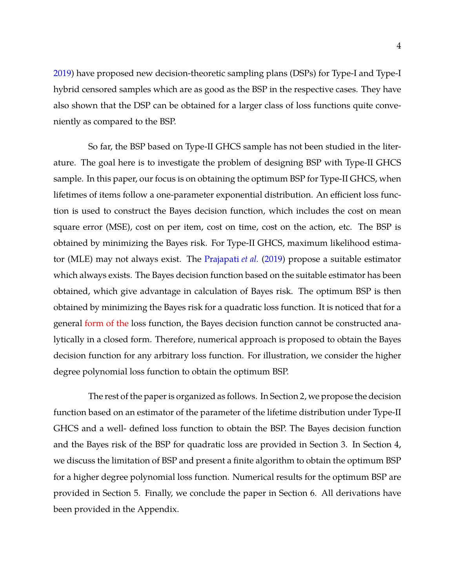[2019\)](#page-36-6) have proposed new decision-theoretic sampling plans (DSPs) for Type-I and Type-I hybrid censored samples which are as good as the BSP in the respective cases. They have also shown that the DSP can be obtained for a larger class of loss functions quite conveniently as compared to the BSP.

So far, the BSP based on Type-II GHCS sample has not been studied in the literature. The goal here is to investigate the problem of designing BSP with Type-II GHCS sample. In this paper, our focus is on obtaining the optimum BSP for Type-II GHCS, when lifetimes of items follow a one-parameter exponential distribution. An efficient loss function is used to construct the Bayes decision function, which includes the cost on mean square error (MSE), cost on per item, cost on time, cost on the action, etc. The BSP is obtained by minimizing the Bayes risk. For Type-II GHCS, maximum likelihood estimator (MLE) may not always exist. The [Prajapati](#page-36-6) *et al.* [\(2019](#page-36-6)) propose a suitable estimator which always exists. The Bayes decision function based on the suitable estimator has been obtained, which give advantage in calculation of Bayes risk. The optimum BSP is then obtained by minimizing the Bayes risk for a quadratic loss function. It is noticed that for a general form of the loss function, the Bayes decision function cannot be constructed analytically in a closed form. Therefore, numerical approach is proposed to obtain the Bayes decision function for any arbitrary loss function. For illustration, we consider the higher degree polynomial loss function to obtain the optimum BSP.

The rest of the paper is organized as follows. In Section 2, we propose the decision function based on an estimator of the parameter of the lifetime distribution under Type-II GHCS and a well- defined loss function to obtain the BSP. The Bayes decision function and the Bayes risk of the BSP for quadratic loss are provided in Section 3. In Section 4, we discuss the limitation of BSP and present a finite algorithm to obtain the optimum BSP for a higher degree polynomial loss function. Numerical results for the optimum BSP are provided in Section 5. Finally, we conclude the paper in Section 6. All derivations have been provided in the Appendix.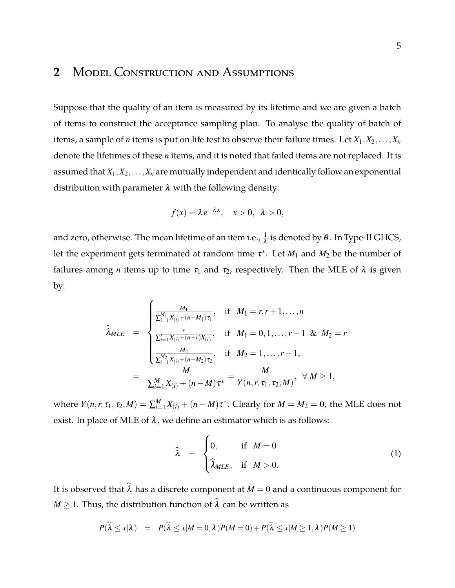## **2** Model Construction and Assumptions

Suppose that the quality of an item is measured by its lifetime and we are given a batch of items to construct the acceptance sampling plan. To analyse the quality of batch of items, a sample of *n* items is put on life test to observe their failure times. Let  $X_1, X_2, \ldots, X_n$ denote the lifetimes of these *n* items, and it is noted that failed items are not replaced. It is assumed that *X*1,*X*2,...,*X<sup>n</sup>* are mutually independent and identically follow an exponential distribution with parameter  $\lambda$  with the following density:

$$
f(x) = \lambda e^{-\lambda x}, \quad x > 0, \ \lambda > 0,
$$

and zero, otherwise. The mean lifetime of an item i.e.,  $\frac{1}{\lambda}$  is denoted by  $\theta.$  In Type-II GHCS, let the experiment gets terminated at random time  $\tau^*$ . Let  $M_1$  and  $M_2$  be the number of failures among *n* items up to time  $\tau_1$  and  $\tau_2$ , respectively. Then the MLE of  $\lambda$  is given by:

$$
\widehat{\lambda}_{MLE} = \begin{cases}\n\frac{M_1}{\sum_{i=1}^{M_1} X_{(i)} + (n - M_1)\tau_1}, & \text{if } M_1 = r, r + 1, ..., n \\
\frac{r}{\sum_{i=1}^{r} X_{(i)} + (n - r)X_{(r)}}, & \text{if } M_1 = 0, 1, ..., r - 1 & \& M_2 = r \\
\frac{M_2}{\sum_{i=1}^{M_2} X_{(i)} + (n - M_2)\tau_2}, & \text{if } M_2 = 1, ..., r - 1, \\
\frac{M}{\sum_{i=1}^{M} X_{(i)} + (n - M)\tau^*} = \frac{M}{Y(n, r, \tau_1, \tau_2, M)}, & \forall M \ge 1,\n\end{cases}
$$

where  $Y(n,r,\tau_1,\tau_2,M)=\sum_{i=1}^M X_{(i)}+(n-M)\tau^*.$  Clearly for  $M=M_2=0,$  the MLE does not exist. In place of MLE of  $\lambda$ , we define an estimator which is as follows:

$$
\widehat{\lambda} = \begin{cases} 0, & \text{if } M = 0 \\ \widehat{\lambda}_{MLE}, & \text{if } M > 0. \end{cases}
$$
 (1)

It is observed that  $\widehat{\lambda}$  has a discrete component at  $M = 0$  and a continuous component for *M*  $\geq$  1. Thus, the distribution function of  $\widehat{\lambda}$  can be written as

<span id="page-4-0"></span>
$$
P(\widehat{\lambda} \leq x | \lambda) = P(\widehat{\lambda} \leq x | M = 0, \lambda) P(M = 0) + P(\widehat{\lambda} \leq x | M \geq 1, \lambda) P(M \geq 1)
$$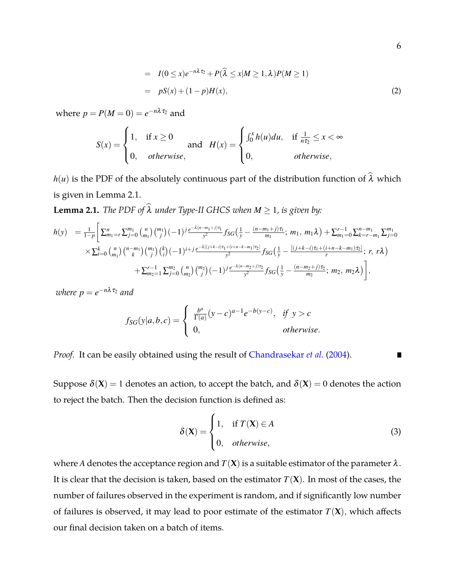$$
= I(0 \le x)e^{-n\lambda \tau_2} + P(\widehat{\lambda} \le x|M \ge 1, \lambda)P(M \ge 1)
$$
  

$$
= pS(x) + (1-p)H(x),
$$
 (2)

where  $p = P(M=0) = e^{-n\lambda \tau_2}$  and

$$
S(x) = \begin{cases} 1, & \text{if } x \ge 0 \\ 0, & \text{otherwise,} \end{cases} \quad \text{and} \quad H(x) = \begin{cases} \int_0^x h(u) \, du, & \text{if } \frac{1}{n\tau_2} \le x < \infty \\ 0, & \text{otherwise,} \end{cases}
$$

*h*(*u*) is the PDF of the absolutely continuous part of the distribution function of  $\hat{\lambda}$  which is given in Lemma [2.1.](#page-5-0)

<span id="page-5-0"></span>**Lemma 2.1.** *The PDF of*  $\widehat{\lambda}$  *under Type-II GHCS when*  $M \ge 1$ *, is given by:* 

$$
h(y) = \frac{1}{1-p} \Bigg[ \sum_{m_1=r}^{n} \sum_{j=0}^{m_1} {n \choose m_1} {m_1 \choose j} (-1)^j \frac{e^{-\lambda(n-m_1+j)\tau_1}}{y^2} f_{SG} \Big(\frac{1}{y} - \frac{(n-m_1+j)\tau_1}{m_1}; m_1, m_1\lambda\Big) + \sum_{m_1=0}^{r-1} \sum_{k=r-m_1}^{n-m_1} \sum_{j=0}^{m_1} {n \choose m_1} {n-m_1 \choose k} (-1)^{i+j} \frac{e^{-\lambda[(j+k-i)\tau_1+(i+n-k-m_1)\tau_2]}}{y^2} f_{SG} \Big(\frac{1}{y} - \frac{[(j+k-i)\tau_1+(i+n-k-m_1)\tau_2]}{r}; r, r\lambda\Big) + \sum_{m_2=1}^{r-1} \sum_{j=0}^{m_2} {n \choose m_2} {m_2 \choose j} (-1)^j \frac{e^{-\lambda(n-m_2+j)\tau_2}}{y^2} f_{SG} \Big(\frac{1}{y} - \frac{(n-m_2+j)\tau_2}{m_2}; m_2, m_2\lambda\Big) \Bigg],
$$

 $where p = e^{-n\lambda \tau_2}$  and

$$
f_{SG}(y|a,b,c) = \begin{cases} \frac{b^a}{\Gamma(a)}(y-c)^{a-1}e^{-b(y-c)}, & \text{if } y > c \\ 0, & \text{otherwise.} \end{cases}
$$

*Proof.* It can be easily obtained using the result of [Chandrasekar](#page-35-8) *et al.* [\(2004\)](#page-35-8). п

Suppose  $\delta(X) = 1$  denotes an action, to accept the batch, and  $\delta(X) = 0$  denotes the action to reject the batch. Then the decision function is defined as:

<span id="page-5-1"></span>
$$
\delta(\mathbf{X}) = \begin{cases} 1, & \text{if } T(\mathbf{X}) \in A \\ 0, & \text{otherwise,} \end{cases}
$$
 (3)

where *A* denotes the acceptance region and  $T(X)$  is a suitable estimator of the parameter  $\lambda$ . It is clear that the decision is taken, based on the estimator  $T(\mathbf{X})$ . In most of the cases, the number of failures observed in the experiment is random, and if significantly low number of failures is observed, it may lead to poor estimate of the estimator  $T(\mathbf{X})$ , which affects our final decision taken on a batch of items.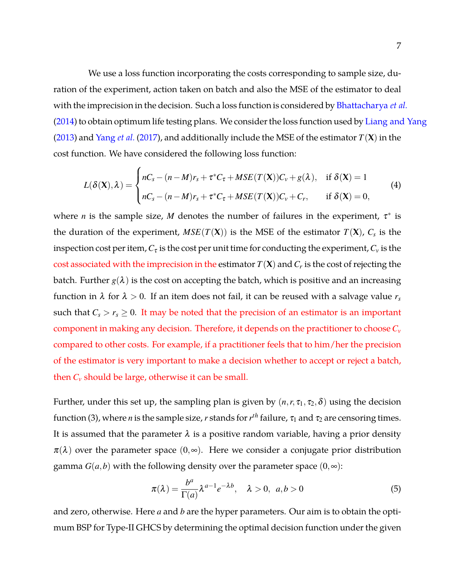We use a loss function incorporating the costs corresponding to sample size, duration of the experiment, action taken on batch and also the MSE of the estimator to deal with the imprecision in the decision. Such a loss function is considered by [Bhattacharya](#page-34-0) *et al.* [\(2014\)](#page-34-0) to obtain optimum life testing plans. We consider the loss function used by [Liang and Yang](#page-36-3) [\(2013\)](#page-36-3) and [Yang](#page-36-4) *et al.* [\(2017\)](#page-36-4), and additionally include the MSE of the estimator *T*(**X**) in the cost function. We have considered the following loss function:

<span id="page-6-0"></span>
$$
L(\delta(\mathbf{X}), \lambda) = \begin{cases} nC_s - (n-M)r_s + \tau^* C_{\tau} + MSE(T(\mathbf{X}))C_{\nu} + g(\lambda), & \text{if } \delta(\mathbf{X}) = 1\\ nC_s - (n-M)r_s + \tau^* C_{\tau} + MSE(T(\mathbf{X}))C_{\nu} + C_r, & \text{if } \delta(\mathbf{X}) = 0, \end{cases}
$$
(4)

where *n* is the sample size, *M* denotes the number of failures in the experiment,  $\tau^*$  is the duration of the experiment*, MSE*( $T(\mathbf{X})$ ) is the MSE of the estimator  $T(\mathbf{X})$ *,*  $C_s$  is the inspection cost per item,  $C_{\tau}$  is the cost per unit time for conducting the experiment,  $C_{\nu}$  is the cost associated with the imprecision in the estimator  $T(\mathbf{X})$  and  $C_r$  is the cost of rejecting the batch. Further  $g(\lambda)$  is the cost on accepting the batch, which is positive and an increasing function in  $\lambda$  for  $\lambda > 0$ . If an item does not fail, it can be reused with a salvage value  $r_s$ such that  $C_s > r_s \geq 0$ . It may be noted that the precision of an estimator is an important component in making any decision. Therefore, it depends on the practitioner to choose *C<sup>v</sup>* compared to other costs. For example, if a practitioner feels that to him/her the precision of the estimator is very important to make a decision whether to accept or reject a batch, then  $C_v$  should be large, otherwise it can be small.

Further, under this set up, the sampling plan is given by  $(n, r, \tau_1, \tau_2, \delta)$  using the decision function [\(3\)](#page-5-1), where *n* is the sample size, *r* stands for  $r^{th}$  failure,  $\tau_1$  and  $\tau_2$  are censoring times. It is assumed that the parameter  $\lambda$  is a positive random variable, having a prior density  $\pi(\lambda)$  over the parameter space  $(0,\infty)$ . Here we consider a conjugate prior distribution gamma  $G(a,b)$  with the following density over the parameter space  $(0,\infty)$ :

$$
\pi(\lambda) = \frac{b^a}{\Gamma(a)} \lambda^{a-1} e^{-\lambda b}, \quad \lambda > 0, \ a, b > 0
$$
 (5)

and zero, otherwise. Here *a* and *b* are the hyper parameters. Our aim is to obtain the optimum BSP for Type-II GHCS by determining the optimal decision function under the given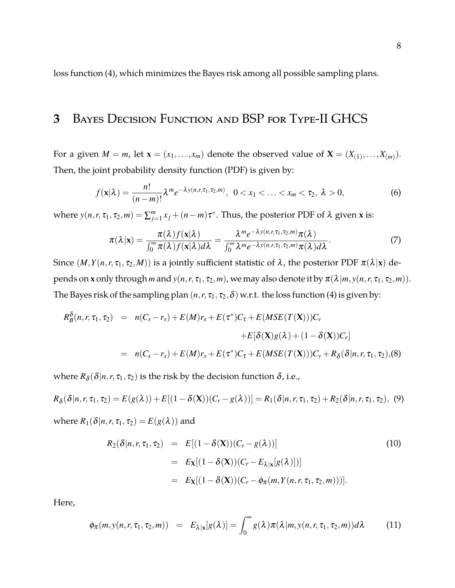loss function [\(4\)](#page-6-0), which minimizes the Bayes risk among all possible sampling plans.

## **3** Bayes Decision Function and BSP for Type-II GHCS

For a given  $M = m$ , let  $\mathbf{x} = (x_1, \ldots, x_m)$  denote the observed value of  $\mathbf{X} = (X_{(1)}, \ldots, X_{(m)})$ . Then, the joint probability density function (PDF) is given by:

$$
f(\mathbf{x}|\lambda) = \frac{n!}{(n-m)!} \lambda^m e^{-\lambda y(n,r,\tau_1,\tau_2,m)}, \ \ 0 < x_1 < \ldots < x_m < \tau_2, \ \lambda > 0,\tag{6}
$$

where  $y(n, r, \tau_1, \tau_2, m) = \sum_{j=1}^m x_j + (n-m)\tau^*$ . Thus, the posterior PDF of  $\lambda$  given **x** is:

<span id="page-7-1"></span>
$$
\pi(\lambda|\mathbf{x}) = \frac{\pi(\lambda)f(\mathbf{x}|\lambda)}{\int_0^\infty \pi(\lambda)f(\mathbf{x}|\lambda)d\lambda} = \frac{\lambda^m e^{-\lambda y(n,r,\tau_1,\tau_2,m)}\pi(\lambda)}{\int_0^\infty \lambda^m e^{-\lambda y(n,r,\tau_1,\tau_2,m)}\pi(\lambda)d\lambda}.
$$
\n(7)

Since  $(M, Y(n, r, \tau_1, \tau_2, M))$  is a jointly sufficient statistic of  $\lambda$ , the posterior PDF  $\pi(\lambda | x)$  depends on **x** only through *m* and  $y(n, r, \tau_1, \tau_2, m)$ , we may also denote it by  $\pi(\lambda | m, y(n, r, \tau_1, \tau_2, m))$ . The Bayes risk of the sampling plan  $(n, r, \tau_1, \tau_2, \delta)$  w.r.t. the loss function [\(4\)](#page-6-0) is given by:

$$
R_B^{\delta}(n, r, \tau_1, \tau_2) = n(C_s - r_s) + E(M)r_s + E(\tau^*)C_{\tau} + E(MSE(T(\mathbf{X})))C_v
$$
  
+
$$
E[\delta(\mathbf{X})g(\lambda) + (1 - \delta(\mathbf{X}))C_r]
$$
  
= 
$$
n(C_s - r_s) + E(M)r_s + E(\tau^*)C_{\tau} + E(MSE(T(\mathbf{X})))C_v + R_{\delta}(\delta|n, r, \tau_1, \tau_2), (8)
$$

where  $R_\delta(\delta|n,r,\tau_1,\tau_2)$  is the risk by the decision function  $\delta$ , i.e.,

<span id="page-7-0"></span>
$$
R_{\delta}(\delta|n,r,\tau_1,\tau_2) = E(g(\lambda)) + E[(1-\delta(\mathbf{X})) (C_r - g(\lambda))] = R_1(\delta|n,r,\tau_1,\tau_2) + R_2(\delta|n,r,\tau_1,\tau_2), \tag{9}
$$

where  $R_1(\delta|n, r, \tau_1, \tau_2) = E(g(\lambda))$  and

$$
R_2(\delta|n, r, \tau_1, \tau_2) = E[(1 - \delta(\mathbf{X})) (C_r - g(\lambda))]
$$
(10)  

$$
= E_{\mathbf{X}}[(1 - \delta(\mathbf{X})) (C_r - E_{\lambda|\mathbf{x}}[g(\lambda)])]
$$
  

$$
= E_{\mathbf{X}}[(1 - \delta(\mathbf{X})) (C_r - \phi_{\pi}(m, Y(n, r, \tau_1, \tau_2, m)))].
$$

Here,

<span id="page-7-2"></span>
$$
\phi_{\pi}(m, y(n, r, \tau_1, \tau_2, m)) = E_{\lambda | \mathbf{x}}[g(\lambda)] = \int_0^\infty g(\lambda) \pi(\lambda | m, y(n, r, \tau_1, \tau_2, m)) d\lambda \tag{11}
$$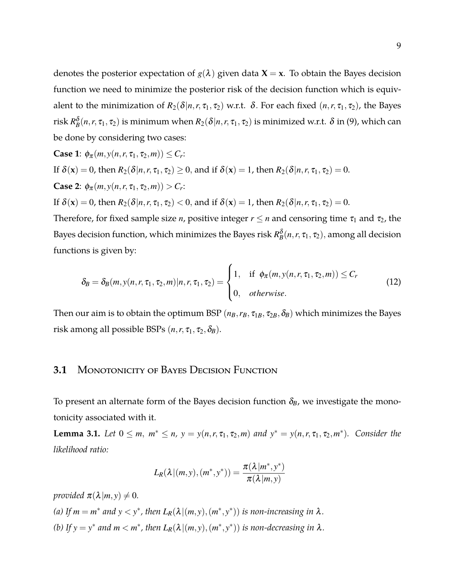denotes the posterior expectation of  $g(\lambda)$  given data **X** = **x**. To obtain the Bayes decision function we need to minimize the posterior risk of the decision function which is equivalent to the minimization of  $R_2(\delta | n, r, \tau_1, \tau_2)$  w.r.t.  $\delta$ . For each fixed  $(n, r, \tau_1, \tau_2)$ , the Bayes risk  $R_B^{\delta}(n,r,\tau_1,\tau_2)$  is minimum when  $R_2(\delta|n,r,\tau_1,\tau_2)$  is minimized w.r.t.  $\delta$  in [\(9\)](#page-7-0), which can be done by considering two cases:

Case 1: 
$$
\phi_{\pi}(m, y(n, r, \tau_1, \tau_2, m)) \leq C_r
$$
:  
\nIf  $\delta(\mathbf{x}) = 0$ , then  $R_2(\delta | n, r, \tau_1, \tau_2) \geq 0$ , and if  $\delta(\mathbf{x}) = 1$ , then  $R_2(\delta | n, r, \tau_1, \tau_2) = 0$ .  
\nCase 2:  $\phi_{\pi}(m, y(n, r, \tau_1, \tau_2, m)) > C_r$ :  
\nIf  $\delta(\mathbf{x}) = 0$ , then  $R_2(\delta | n, r, \tau_1, \tau_2) < 0$ , and if  $\delta(\mathbf{x}) = 1$ , then  $R_2(\delta | n, r, \tau_1, \tau_2) = 0$ .

Therefore, for fixed sample size *n*, positive integer  $r \le n$  and censoring time  $\tau_1$  and  $\tau_2$ , the Bayes decision function, which minimizes the Bayes risk  $R_B^{\delta}(n,r,\tau_1,\tau_2),$  among all decision functions is given by:

<span id="page-8-0"></span>
$$
\delta_B = \delta_B(m, y(n, r, \tau_1, \tau_2, m) | n, r, \tau_1, \tau_2) = \begin{cases} 1, & \text{if } \phi_\pi(m, y(n, r, \tau_1, \tau_2, m)) \le C_r \\ 0, & \text{otherwise.} \end{cases} \tag{12}
$$

Then our aim is to obtain the optimum BSP  $(n_B, r_B, \tau_{1B}, \tau_{2B}, \delta_B)$  which minimizes the Bayes risk among all possible BSPs  $(n, r, \tau_1, \tau_2, \delta_B)$ .

#### **3.1** Monotonicity of Bayes Decision Function

To present an alternate form of the Bayes decision function  $\delta_B$ , we investigate the monotonicity associated with it.

<span id="page-8-1"></span>**Lemma 3.1.** Let  $0 \le m$ ,  $m^* \le n$ ,  $y = y(n, r, \tau_1, \tau_2, m)$  and  $y^* = y(n, r, \tau_1, \tau_2, m^*)$ *. Consider the likelihood ratio:*

$$
L_R(\lambda | (m, y), (m^*, y^*)) = \frac{\pi(\lambda | m^*, y^*)}{\pi(\lambda | m, y)}
$$

*provided*  $\pi(\lambda|m, y) \neq 0$ *.* (*a*) If  $m = m^*$  and  $y < y^*$ , then  $L_R(\lambda | (m, y), (m^*, y^*))$  is non-increasing in  $\lambda$ . *(b)* If  $y = y^*$  and  $m < m^*$ , then  $L_R(\lambda | (m, y), (m^*, y^*))$  is non-decreasing in  $\lambda$ .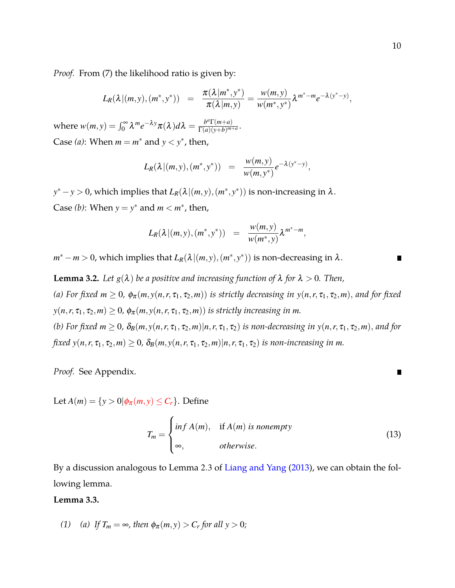*Proof.* From [\(7\)](#page-7-1) the likelihood ratio is given by:

$$
L_R(\lambda | (m, y), (m^*, y^*)) = \frac{\pi(\lambda | m^*, y^*)}{\pi(\lambda | m, y)} = \frac{w(m, y)}{w(m^*, y^*)} \lambda^{m^* - m} e^{-\lambda (y^* - y)},
$$

where  $w(m, y) = \int_0^\infty \lambda^m e^{-\lambda y} \pi(\lambda) d\lambda = \frac{b^a \Gamma(m+a)}{\Gamma(a)(\nu+b)^{m-a}}$  $\frac{\partial^{2} \Gamma(m+a)}{\Gamma(a)(y+b)^{m+a}}$ . Case (*a*): When  $m = m^*$  and  $y < y^*$ , then,

$$
L_R(\lambda | (m, y), (m^*, y^*)) = \frac{w(m, y)}{w(m, y^*)} e^{-\lambda (y^* - y)},
$$

 $y^* - y > 0$ , which implies that  $L_R(\lambda | (m, y), (m^*, y^*))$  is non-increasing in  $\lambda$ . Case *(b)*: When  $y = y^*$  and  $m < m^*$ , then,

$$
L_R(\lambda | (m, y), (m^*, y^*)) = \frac{w(m, y)}{w(m^*, y)} \lambda^{m^* - m},
$$

 $m^* - m > 0$ , which implies that  $L_R(\lambda | (m, y), (m^*, y^*))$  is non-decreasing in  $\lambda$ .

<span id="page-9-0"></span>**Lemma 3.2.** *Let*  $g(\lambda)$  *be a positive and increasing function of*  $\lambda$  *for*  $\lambda > 0$ *. Then,* (a) For fixed  $m \geq 0$ ,  $\phi_{\pi}(m, y(n, r, \tau_1, \tau_2, m))$  *is strictly decreasing in*  $y(n, r, \tau_1, \tau_2, m)$ , *and for fixed*  $y(n, r, \tau_1, \tau_2, m) \geq 0$ ,  $\phi_\pi(m, y(n, r, \tau_1, \tau_2, m))$  *is strictly increasing in m. (b)* For fixed  $m \geq 0$ ,  $\delta_B(m, y(n, r, \tau_1, \tau_2, m) | n, r, \tau_1, \tau_2)$  is non-decreasing in  $y(n, r, \tau_1, \tau_2, m)$ , and for *fixed*  $y(n, r, \tau_1, \tau_2, m) \ge 0$ ,  $\delta_B(m, y(n, r, \tau_1, \tau_2, m) | n, r, \tau_1, \tau_2)$  *is non-increasing in m.* 

*Proof.* See Appendix.

Let  $A(m) = \{y > 0 | \phi_{\pi}(m, y) \leq C_r \}$ . Define

<span id="page-9-1"></span>
$$
T_m = \begin{cases} \inf A(m), & \text{if } A(m) \text{ is nonempty} \\ \infty, & \text{otherwise.} \end{cases}
$$
 (13)

By a discussion analogous to Lemma 2.3 of [Liang and Yang](#page-36-3) [\(2013](#page-36-3)), we can obtain the following lemma.

#### <span id="page-9-2"></span>**Lemma 3.3.**

*(1) (a) If*  $T_m = \infty$ *, then*  $\phi_{\pi}(m, y) > C_r$  *for all*  $y > 0$ *;*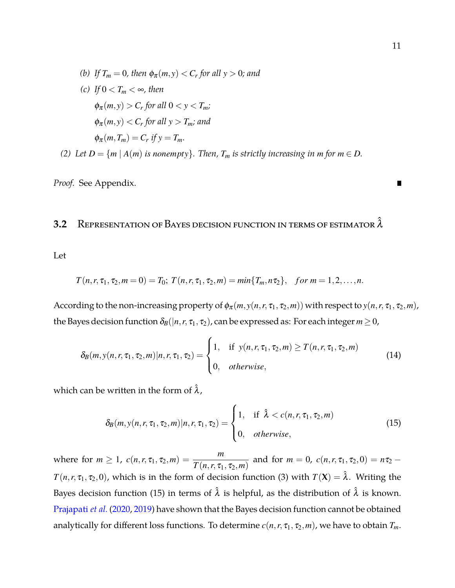\n- (b) If 
$$
T_m = 0
$$
, then  $\phi_{\pi}(m, y) < C_r$  for all  $y > 0$ ; and
\n- (c) If  $0 < T_m < \infty$ , then
\n- $\phi_{\pi}(m, y) > C_r$  for all  $0 < y < T_m$ ;
\n- $\phi_{\pi}(m, y) < C_r$  for all  $y > T_m$ ; and
\n- $\phi_{\pi}(m, T_m) = C_r$  if  $y = T_m$ .
\n- (2) Let  $D = \{m \mid A(m) \text{ is nonempty}\}$ . Then,  $T_m$  is strictly increasing in  $m$  for  $m \in D$ .
\n

*Proof.* See Appendix.

## **3.2** Representation of Bayes decision function in terms of estimator  $\hat{\lambda}$

Let

$$
T(n,r,\tau_1,\tau_2,m=0)=T_0;
$$
  $T(n,r,\tau_1,\tau_2,m)=min{T_m,n\tau_2},$  for  $m=1,2,...,n$ .

According to the non-increasing property of  $\phi_{\pi}(m, y(n, r, \tau_1, \tau_2, m))$  with respect to  $y(n, r, \tau_1, \tau_2, m)$ , the Bayes decision function  $\delta_B(|n, r, \tau_1, \tau_2)$ , can be expressed as: For each integer  $m \geq 0$ ,

$$
\delta_B(m, y(n, r, \tau_1, \tau_2, m) | n, r, \tau_1, \tau_2) = \begin{cases} 1, & \text{if } y(n, r, \tau_1, \tau_2, m) \ge T(n, r, \tau_1, \tau_2, m) \\ 0, & \text{otherwise,} \end{cases}
$$
(14)

which can be written in the form of  $\hat{\lambda}$ ,

<span id="page-10-0"></span>
$$
\delta_B(m, y(n, r, \tau_1, \tau_2, m) | n, r, \tau_1, \tau_2) = \begin{cases} 1, & \text{if } \hat{\lambda} < c(n, r, \tau_1, \tau_2, m) \\ 0, & \text{otherwise,} \end{cases} \tag{15}
$$

where for  $m \ge 1$ ,  $c(n,r,\tau_1,\tau_2,m) = \frac{m}{T(n,r,\tau_1,m)}$  $T(n,r,\tau_1,\tau_2,m)$ and for  $m = 0$ ,  $c(n, r, \tau_1, \tau_2, 0) = n\tau_2$  – *T*(*n*,*r*,  $\tau_1$ ,  $\tau_2$ ,0), which is in the form of decision function [\(3\)](#page-5-1) with  $T(\mathbf{X}) = \hat{\lambda}$ . Writing the Bayes decision function [\(15\)](#page-10-0) in terms of  $\hat{\lambda}$  is helpful, as the distribution of  $\hat{\lambda}$  is known. [Prajapati](#page-36-5) *et al.* [\(2020](#page-36-5), [2019](#page-36-6)) have shown that the Bayes decision function cannot be obtained analytically for different loss functions. To determine  $c(n, r, \tau_1, \tau_2, m)$ , we have to obtain  $T_m$ .

п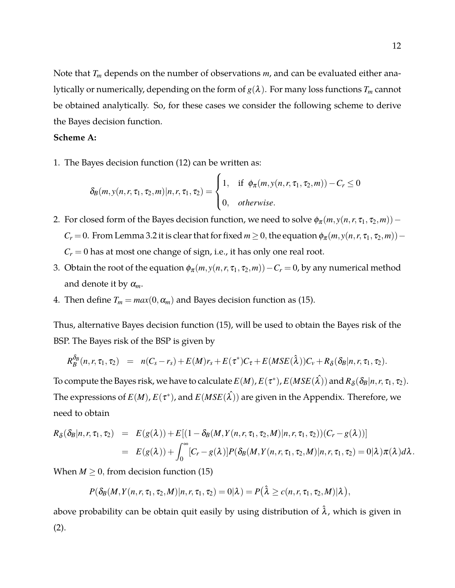Note that *T<sup>m</sup>* depends on the number of observations *m*, and can be evaluated either analytically or numerically, depending on the form of  $g(\lambda)$ . For many loss functions  $T_m$  cannot be obtained analytically. So, for these cases we consider the following scheme to derive the Bayes decision function.

#### **Scheme A:**

1. The Bayes decision function [\(12\)](#page-8-0) can be written as:

$$
\delta_B(m, y(n, r, \tau_1, \tau_2, m) | n, r, \tau_1, \tau_2) = \begin{cases} 1, & \text{if } \phi_\pi(m, y(n, r, \tau_1, \tau_2, m)) - C_r \le 0 \\ 0, & \text{otherwise.} \end{cases}
$$

- 2. For closed form of the Bayes decision function, we need to solve  $\phi_{\pi}(m, y(n, r, \tau_1, \tau_2, m))$  *C*<sub>*r*</sub> = 0. From Lemma [3.2](#page-9-0) it is clear that for fixed *m* ≥ 0, the equation  $\phi_{\pi}(m, y(n, r, \tau_1, \tau_2, m))$  −  $C_r = 0$  has at most one change of sign, i.e., it has only one real root.
- 3. Obtain the root of the equation  $\phi_{\pi}(m, y(n, r, \tau_1, \tau_2, m)) C_r = 0$ , by any numerical method and denote it by  $\alpha_m$ .
- 4. Then define  $T_m = max(0, \alpha_m)$  and Bayes decision function as [\(15\)](#page-10-0).

Thus, alternative Bayes decision function [\(15\)](#page-10-0), will be used to obtain the Bayes risk of the BSP. The Bayes risk of the BSP is given by

$$
R_{B}^{\delta_B}(n,r,\tau_1,\tau_2) = n(C_s-r_s) + E(M)r_s + E(\tau^*)C_{\tau} + E(MSE(\hat{\lambda}))C_{\nu} + R_{\delta}(\delta_B|n,r,\tau_1,\tau_2).
$$

To compute the Bayes risk, we have to calculate  $E(M)$ ,  $E(\tau^*)$ ,  $E(MSE(\hat{\lambda}))$  and  $R_\delta(\delta_B | n, r, \tau_1, \tau_2).$ The expressions of  $E(M)$ ,  $E(\tau^*)$ , and  $E(MSE(\hat{\lambda}))$  are given in the Appendix. Therefore, we need to obtain

$$
R_{\delta}(\delta_{B}|n,r,\tau_{1},\tau_{2}) = E(g(\lambda)) + E[(1-\delta_{B}(M,Y(n,r,\tau_{1},\tau_{2},M)|n,r,\tau_{1},\tau_{2}))(C_{r}-g(\lambda))]
$$
  
= 
$$
E(g(\lambda)) + \int_{0}^{\infty} [C_{r}-g(\lambda)]P(\delta_{B}(M,Y(n,r,\tau_{1},\tau_{2},M)|n,r,\tau_{1},\tau_{2}) = 0|\lambda)\pi(\lambda)d\lambda.
$$

When  $M \geq 0$ , from decision function [\(15\)](#page-10-0)

$$
P(\delta_B(M,Y(n,r,\tau_1,\tau_2,M)|n,r,\tau_1,\tau_2)=0|\lambda)=P(\hat{\lambda}\geq c(n,r,\tau_1,\tau_2,M)|\lambda),
$$

above probability can be obtain quit easily by using distribution of  $\hat{\lambda}$ , which is given in [\(2\)](#page-4-0).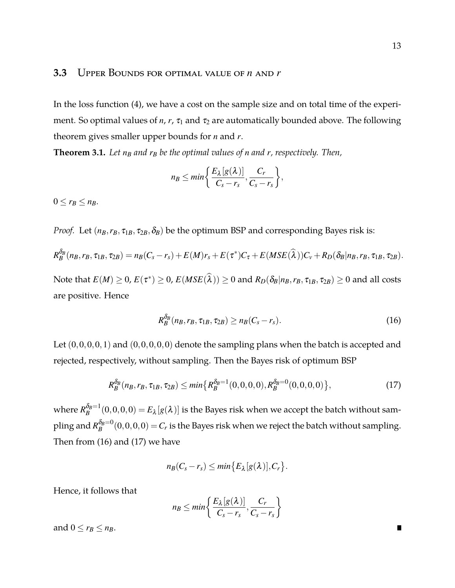In the loss function [\(4\)](#page-6-0), we have a cost on the sample size and on total time of the experiment. So optimal values of  $n$ ,  $r$ ,  $\tau_1$  and  $\tau_2$  are automatically bounded above. The following theorem gives smaller upper bounds for *n* and *r*.

**Theorem 3.1.** Let  $n_B$  and  $r_B$  be the optimal values of *n* and *r*, respectively. Then,

$$
n_B \leq min \bigg\{ \frac{E_{\lambda}[g(\lambda)]}{C_s - r_s}, \frac{C_r}{C_s - r_s} \bigg\},\
$$

 $0 \le r_B \le n_B$ .

*Proof.* Let  $(n_B, r_B, \tau_{1B}, \tau_{2B}, \delta_B)$  be the optimum BSP and corresponding Bayes risk is:

$$
R_{B}^{\delta_{B}}(n_{B},r_{B},\tau_{1B},\tau_{2B})=n_{B}(C_{s}-r_{s})+E(M)r_{s}+E(\tau^{*})C_{\tau}+E(MSE(\widehat{\lambda}))C_{v}+R_{D}(\delta_{B}|n_{B},r_{B},\tau_{1B},\tau_{2B}).
$$

 $\text{Note that } E(M) \geq 0$ ,  $E(\tau^*) \geq 0$ ,  $E(MSE(\hat{\lambda})) \geq 0$  and  $R_D(\delta_B | n_B, r_B, \tau_{1B}, \tau_{2B}) \geq 0$  and all costs are positive. Hence

<span id="page-12-0"></span>
$$
R_B^{\delta_B}(n_B, r_B, \tau_{1B}, \tau_{2B}) \ge n_B(C_s - r_s). \tag{16}
$$

Let  $(0,0,0,0,1)$  and  $(0,0,0,0,0)$  denote the sampling plans when the batch is accepted and rejected, respectively, without sampling. Then the Bayes risk of optimum BSP

<span id="page-12-1"></span>
$$
R_B^{\delta_B}(n_B, r_B, \tau_{1B}, \tau_{2B}) \le \min\{R_B^{\delta_B=1}(0, 0, 0, 0), R_B^{\delta_B=0}(0, 0, 0, 0)\},\tag{17}
$$

where  $R_B^{\delta_B=1}$  $B^{b_B=1}_B(0,0,0,0)=E_\lambda[g(\lambda)]$  is the Bayes risk when we accept the batch without sampling and  $R_B^{\delta_B=0}$  $B_B^{(B_B=0)}(0,0,0,0) = C_r$  is the Bayes risk when we reject the batch without sampling. Then from [\(16\)](#page-12-0) and [\(17\)](#page-12-1) we have

$$
n_B(C_s-r_s)\leq min\big\{E_{\lambda}[g(\lambda)],C_r\big\}.
$$

Hence, it follows that

$$
n_B \leq min\bigg\{\frac{E_{\lambda}[g(\lambda)]}{C_s-r_s},\frac{C_r}{C_s-r_s}\bigg\}
$$

and  $0 \le r_B \le n_B$ .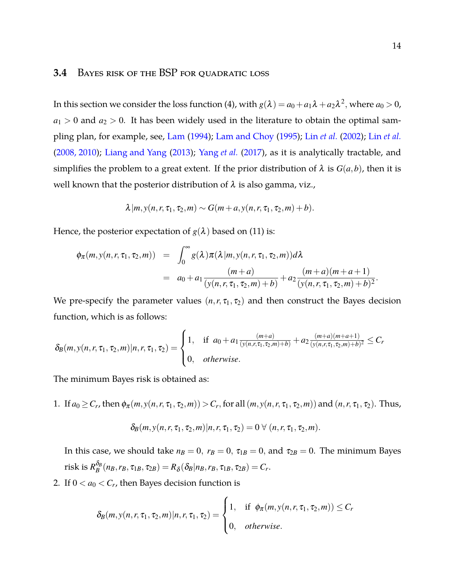#### **3.4** Bayes risk of the BSP for quadratic loss

In this section we consider the loss function [\(4\)](#page-6-0), with  $g(\lambda) = a_0 + a_1 \lambda + a_2 \lambda^2$ , where  $a_0 > 0$ ,  $a_1 > 0$  and  $a_2 > 0$ . It has been widely used in the literature to obtain the optimal sampling plan, for example, see, [Lam](#page-36-0) [\(1994](#page-36-0)); [Lam and Choy](#page-36-7) [\(1995](#page-36-7)); Lin *[et al.](#page-36-1)* [\(2002\)](#page-36-1); Lin *[et al.](#page-36-2)* [\(2008, 2010\)](#page-36-2); [Liang and Yang](#page-36-3) [\(2013](#page-36-3)); [Yang](#page-36-4) *et al.* [\(2017](#page-36-4)), as it is analytically tractable, and simplifies the problem to a great extent. If the prior distribution of  $\lambda$  is  $G(a,b)$ , then it is well known that the posterior distribution of  $\lambda$  is also gamma, viz.,

$$
\lambda | m, y(n, r, \tau_1, \tau_2, m) \sim G(m+a, y(n, r, \tau_1, \tau_2, m) + b).
$$

Hence, the posterior expectation of  $g(\lambda)$  based on [\(11\)](#page-7-2) is:

$$
\begin{array}{rcl}\n\phi_{\pi}(m, y(n, r, \tau_1, \tau_2, m)) & = & \int_0^\infty g(\lambda) \pi(\lambda | m, y(n, r, \tau_1, \tau_2, m)) d\lambda \\
& = & a_0 + a_1 \frac{(m + a)}{(y(n, r, \tau_1, \tau_2, m) + b)} + a_2 \frac{(m + a)(m + a + 1)}{(y(n, r, \tau_1, \tau_2, m) + b)^2}.\n\end{array}
$$

We pre-specify the parameter values  $(n, r, \tau_1, \tau_2)$  and then construct the Bayes decision function, which is as follows:

$$
\delta_B(m, y(n, r, \tau_1, \tau_2, m) | n, r, \tau_1, \tau_2) = \begin{cases} 1, & \text{if } a_0 + a_1 \frac{(m+a)}{(y(n, r, \tau_1, \tau_2, m) + b)} + a_2 \frac{(m+a)(m+a+1)}{(y(n, r, \tau_1, \tau_2, m) + b)^2} \leq C_r \\ 0, & \text{otherwise.} \end{cases}
$$

The minimum Bayes risk is obtained as:

1. If  $a_0 \ge C_r$ , then  $\phi_\pi(m, y(n, r, \tau_1, \tau_2, m)) > C_r$ , for all  $(m, y(n, r, \tau_1, \tau_2, m))$  and  $(n, r, \tau_1, \tau_2)$ . Thus,

$$
\delta_B(m, y(n, r, \tau_1, \tau_2, m) | n, r, \tau_1, \tau_2) = 0 \ \forall \ (n, r, \tau_1, \tau_2, m).
$$

In this case, we should take  $n_B = 0$ ,  $r_B = 0$ ,  $\tau_{1B} = 0$ , and  $\tau_{2B} = 0$ . The minimum Bayes risk is  $R_B^{\delta_B}$  $B_B^{\sigma_B}(n_B, r_B, \tau_{1B}, \tau_{2B}) = R_{\delta}(\delta_B|n_B, r_B, \tau_{1B}, \tau_{2B}) = C_r.$ 

2. If  $0 < a_0 < C_r$ , then Bayes decision function is

$$
\delta_B(m, y(n, r, \tau_1, \tau_2, m) | n, r, \tau_1, \tau_2) = \begin{cases} 1, & \text{if } \phi_\pi(m, y(n, r, \tau_1, \tau_2, m)) \leq C_r \\ 0, & \text{otherwise.} \end{cases}
$$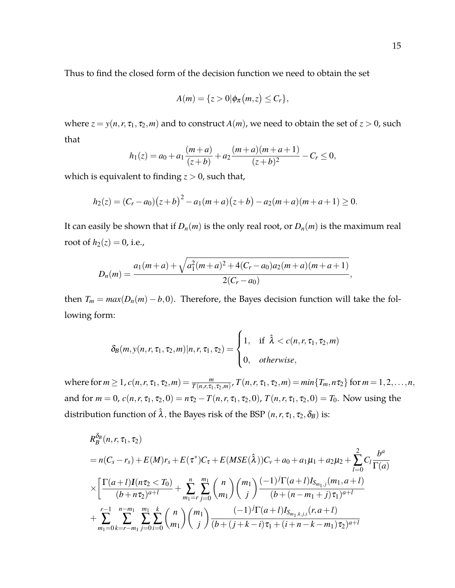Thus to find the closed form of the decision function we need to obtain the set

$$
A(m) = \{z > 0 | \phi_{\pi}(m, z) \leq C_r \},
$$

where  $z = y(n, r, \tau_1, \tau_2, m)$  and to construct  $A(m)$ , we need to obtain the set of  $z > 0$ , such that

$$
h_1(z) = a_0 + a_1 \frac{(m+a)}{(z+b)} + a_2 \frac{(m+a)(m+a+1)}{(z+b)^2} - C_r \le 0,
$$

which is equivalent to finding  $z > 0$ , such that,

$$
h_2(z) = (C_r - a_0)(z+b)^2 - a_1(m+a)(z+b) - a_2(m+a)(m+a+1) \ge 0.
$$

It can easily be shown that if  $D_n(m)$  is the only real root, or  $D_n(m)$  is the maximum real root of  $h_2(z) = 0$ , i.e.,

$$
D_n(m) = \frac{a_1(m+a) + \sqrt{a_1^2(m+a)^2 + 4(C_r - a_0)a_2(m+a)(m+a+1)}}{2(C_r - a_0)},
$$

then  $T_m = max(D_n(m) - b, 0)$ . Therefore, the Bayes decision function will take the following form:

$$
\delta_B(m, y(n, r, \tau_1, \tau_2, m) | n, r, \tau_1, \tau_2) = \begin{cases} 1, & \text{if } \hat{\lambda} < c(n, r, \tau_1, \tau_2, m) \\ 0, & \text{otherwise,} \end{cases}
$$

where for  $m \ge 1$ ,  $c(n, r, \tau_1, \tau_2, m) = \frac{m}{T(n, r, \tau_1, \tau_2, m)}$ ,  $T(n, r, \tau_1, \tau_2, m) = min\{T_m, n\tau_2\}$  for  $m = 1, 2, ..., n$ , and for  $m = 0$ ,  $c(n, r, \tau_1, \tau_2, 0) = n\tau_2 - T(n, r, \tau_1, \tau_2, 0)$ ,  $T(n, r, \tau_1, \tau_2, 0) = T_0$ . Now using the distribution function of  $\hat{\lambda}$ , the Bayes risk of the BSP  $(n, r, \tau_1, \tau_2, \delta_B)$  is:

$$
R_{B}^{\delta_{B}}(n, r, \tau_{1}, \tau_{2})
$$
\n
$$
= n(C_{s} - r_{s}) + E(M)r_{s} + E(\tau^{*})C_{\tau} + E(MSE(\hat{\lambda}))C_{\nu} + a_{0} + a_{1}\mu_{1} + a_{2}\mu_{2} + \sum_{l=0}^{2} C_{l} \frac{b^{a}}{\Gamma(a)}
$$
\n
$$
\times \left[ \frac{\Gamma(a+l)I(n\tau_{2} < T_{0})}{(b+n\tau_{2})^{a+l}} + \sum_{m_{1}=r}^{n} \sum_{j=0}^{m_{1}} {n \choose m_{1}} {m_{1} \choose j} \frac{(-1)^{j} \Gamma(a+l)I_{S_{m_{1},j}}(m_{1}, a+l)}{(b+(n-m_{1}+j)\tau_{1})^{a+l}} + \sum_{m_{1}=0}^{r-1} \sum_{k=r-m_{1}}^{n-m_{1}} \sum_{j=0}^{m_{1}} \sum_{i=0}^{m_{1}} {n \choose m_{1}} {m_{1} \choose j} \frac{(-1)^{j} \Gamma(a+l)I_{S_{m_{1},k,j,i}}(r, a+l)}{(b+(j+k-i)\tau_{1}+(i+n-k-m_{1})\tau_{2})^{a+l}}
$$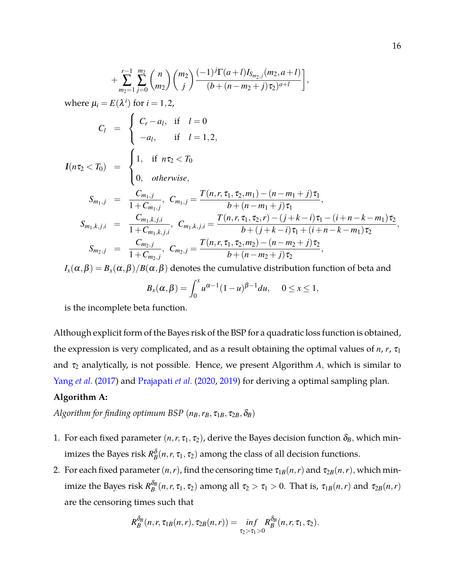$$
+\sum_{m_2=1}^{r-1} \sum_{j=0}^{m_2} {n \choose m_2} {m_2 \choose j} \frac{(-1)^j \Gamma(a+l) I_{S_{m_2,j}}(m_2, a+l)}{(b+(n-m_2+j)\tau_2)^{a+l}},
$$
  
where  $\mu_i = E(\lambda^i)$  for  $i = 1, 2$ ,  

$$
C_l = \begin{cases} C_r - a_l, & \text{if } l = 0 \\ -a_l, & \text{if } l = 1, 2, \end{cases}
$$

$$
I(n\tau_2 < T_0) = \begin{cases} 1, & \text{if } n\tau_2 < T_0 \\ 0, & \text{otherwise,} \end{cases}
$$

$$
S_{m_1,j} = \frac{C_{m_1,j}}{1+C_{m_1,j}}, \ C_{m_1,j} = \frac{T(n,r,\tau_1,\tau_2,m_1) - (n-m_1+j)\tau_1}{b+(n-m_1+j)\tau_1},
$$

$$
S_{m_1,k,j,i} = \frac{C_{m_1,k,j,i}}{1+C_{m_1,k,j,i}}, \ C_{m_1,k,j,i} = \frac{T(n,r,\tau_1,\tau_2,r) - (j+k-i)\tau_1 - (i+n-k-m_1)\tau_2}{b+(j+k-i)\tau_1 + (i+n-k-m_1)\tau_2},
$$

$$
S_{m_2,j} = \frac{C_{m_2,j}}{1+C_{m_2,j}}, \ C_{m_2,j} = \frac{T(n,r,\tau_1,\tau_2,m_2) - (n-m_2+j)\tau_2}{b+(n-m_2+j)\tau_2},
$$

 $I_x(\alpha,\beta) = B_x(\alpha,\beta)/B(\alpha,\beta)$  denotes the cumulative distribution function of beta and

$$
B_x(\alpha,\beta)=\int_0^x u^{\alpha-1}(1-u)^{\beta-1}du,\quad 0\leq x\leq 1,
$$

is the incomplete beta function.

Although explicit form of the Bayes risk of the BSP for a quadratic loss function is obtained, the expression is very complicated, and as a result obtaining the optimal values of  $n$ ,  $r$ ,  $\tau_1$ and  $\tau_2$  analytically, is not possible. Hence, we present Algorithm *A*, which is similar to [Yang](#page-36-4) *et al.* [\(2017\)](#page-36-4) and [Prajapati](#page-36-5) *et al.* [\(2020,](#page-36-5) [2019\)](#page-36-6) for deriving a optimal sampling plan.

#### **Algorithm A:**

*Algorithm for finding optimum BSP*  $(n_B, r_B, \tau_{1B}, \tau_{2B}, \delta_B)$ 

- 1. For each fixed parameter  $(n, r, \tau_1, \tau_2)$ , derive the Bayes decision function  $\delta_B$ , which minimizes the Bayes risk  $R_B^{\delta}(n,r,\tau_1,\tau_2)$  among the class of all decision functions.
- 2. For each fixed parameter  $(n, r)$ , find the censoring time  $\tau_{1B}(n, r)$  and  $\tau_{2B}(n, r)$ , which minimize the Bayes risk  $R_B^{\delta_B}$  $\sigma_B^{\alpha_B}(n,r,\tau_1,\tau_2)$  among all  $\tau_2 > \tau_1 > 0$ . That is,  $\tau_{1B}(n,r)$  and  $\tau_{2B}(n,r)$ are the censoring times such that

$$
R_B^{\delta_B}(n,r,\tau_{1B}(n,r),\tau_{2B}(n,r))=\inf_{\tau_2>\tau_1>0}R_B^{\delta_B}(n,r,\tau_1,\tau_2).
$$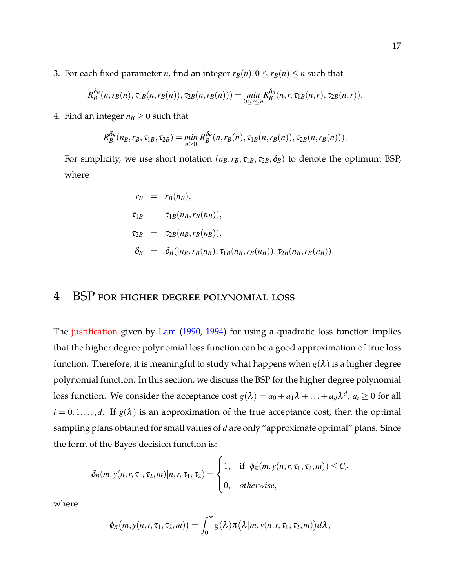3. For each fixed parameter *n*, find an integer  $r_B(n)$ ,  $0 \le r_B(n) \le n$  such that

$$
R_B^{\delta_B}(n,r_B(n),\tau_{1B}(n,r_B(n)),\tau_{2B}(n,r_B(n)))=\min_{0\leq r\leq n}R_B^{\delta_B}(n,r,\tau_{1B}(n,r),\tau_{2B}(n,r)).
$$

4. Find an integer  $n_B \geq 0$  such that

$$
R_B^{\delta_B}(n_B,r_B,\tau_{1B},\tau_{2B}) = \min_{n\geq 0} R_B^{\delta_B}(n,r_B(n),\tau_{1B}(n,r_B(n)),\tau_{2B}(n,r_B(n))).
$$

For simplicity, we use short notation  $(n_B, r_B, \tau_{1B}, \tau_{2B}, \delta_B)$  to denote the optimum BSP, where

$$
r_B = r_B(n_B),
$$
  
\n
$$
\tau_{1B} = \tau_{1B}(n_B, r_B(n_B)),
$$
  
\n
$$
\tau_{2B} = \tau_{2B}(n_B, r_B(n_B)),
$$
  
\n
$$
\delta_B = \delta_B(|n_B, r_B(n_B), \tau_{1B}(n_B, r_B(n_B)), \tau_{2B}(n_B, r_B(n_B)).
$$

## **4** BSP for higher degree polynomial loss

The justification given by [Lam](#page-35-9) [\(1990,](#page-35-9) [1994\)](#page-36-0) for using a quadratic loss function implies that the higher degree polynomial loss function can be a good approximation of true loss function. Therefore, it is meaningful to study what happens when  $g(\lambda)$  is a higher degree polynomial function. In this section, we discuss the BSP for the higher degree polynomial loss function. We consider the acceptance cost  $g(\lambda) = a_0 + a_1\lambda + ... + a_d\lambda^d$ ,  $a_i \ge 0$  for all  $i = 0, 1, \ldots, d$ . If  $g(\lambda)$  is an approximation of the true acceptance cost, then the optimal sampling plans obtained for small values of *d* are only "approximate optimal" plans. Since the form of the Bayes decision function is:

$$
\delta_B(m, y(n, r, \tau_1, \tau_2, m) | n, r, \tau_1, \tau_2) = \begin{cases} 1, & \text{if } \phi_\pi(m, y(n, r, \tau_1, \tau_2, m)) \leq C_r \\ 0, & \text{otherwise,} \end{cases}
$$

where

$$
\phi_{\pi}(m, y(n, r, \tau_1, \tau_2, m)) = \int_0^{\infty} g(\lambda) \pi(\lambda | m, y(n, r, \tau_1, \tau_2, m)) d\lambda,
$$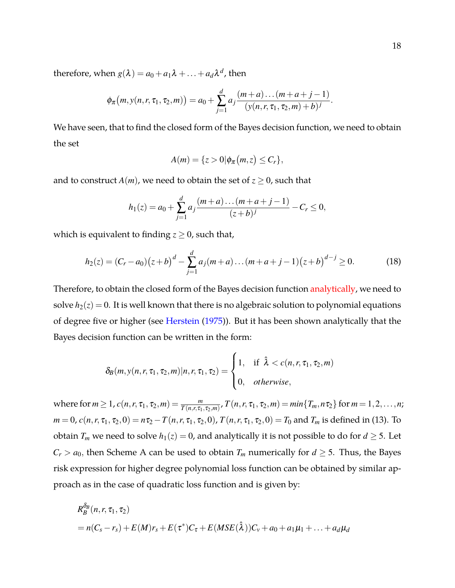therefore, when  $g(\lambda) = a_0 + a_1\lambda + \ldots + a_d\lambda^d$ , then

$$
\phi_{\pi}(m, y(n, r, \tau_1, \tau_2, m)) = a_0 + \sum_{j=1}^d a_j \frac{(m+a) \dots (m+a+j-1)}{(y(n, r, \tau_1, \tau_2, m)+b)^j}.
$$

We have seen, that to find the closed form of the Bayes decision function, we need to obtain the set

$$
A(m) = \{z > 0 | \phi_{\pi}(m, z) \leq C_r \},
$$

and to construct  $A(m)$ , we need to obtain the set of  $z \ge 0$ , such that

$$
h_1(z) = a_0 + \sum_{j=1}^d a_j \frac{(m+a)\dots(m+a+j-1)}{(z+b)^j} - C_r \le 0,
$$

which is equivalent to finding  $z \geq 0$ , such that,

$$
h_2(z) = (C_r - a_0)(z + b)^d - \sum_{j=1}^d a_j(m + a) \dots (m + a + j - 1)(z + b)^{d - j} \ge 0.
$$
 (18)

Therefore, to obtain the closed form of the Bayes decision function analytically, we need to solve  $h_2(z) = 0$ . It is well known that there is no algebraic solution to polynomial equations of degree five or higher (see [Herstein](#page-35-11) [\(1975\)](#page-35-11)). But it has been shown analytically that the Bayes decision function can be written in the form:

$$
\delta_B(m, y(n, r, \tau_1, \tau_2, m) | n, r, \tau_1, \tau_2) = \begin{cases} 1, & \text{if } \hat{\lambda} < c(n, r, \tau_1, \tau_2, m) \\ 0, & \text{otherwise,} \end{cases}
$$

where for  $m \ge 1$ ,  $c(n,r,\tau_1,\tau_2,m) = \frac{m}{T(n,r,\tau_1,\tau_2,m)}$ ,  $T(n,r,\tau_1,\tau_2,m) = min\{T_m,n\tau_2\}$  for  $m = 1,2,\ldots,n$ ;  $m = 0$ ,  $c(n, r, \tau_1, \tau_2, 0) = n\tau_2 - T(n, r, \tau_1, \tau_2, 0)$ ,  $T(n, r, \tau_1, \tau_2, 0) = T_0$  and  $T_m$  is defined in [\(13\)](#page-9-1). To obtain  $T_m$  we need to solve  $h_1(z) = 0$ , and analytically it is not possible to do for  $d \geq 5$ . Let  $C_r > a_0$ , then Scheme A can be used to obtain  $T_m$  numerically for  $d \geq 5$ . Thus, the Bayes risk expression for higher degree polynomial loss function can be obtained by similar approach as in the case of quadratic loss function and is given by:

$$
R_B^{\delta_B}(n, r, \tau_1, \tau_2)
$$
  
=  $n(C_s - r_s) + E(M)r_s + E(\tau^*)C_{\tau} + E(MSE(\hat{\lambda}))C_v + a_0 + a_1\mu_1 + ... + a_d\mu_d$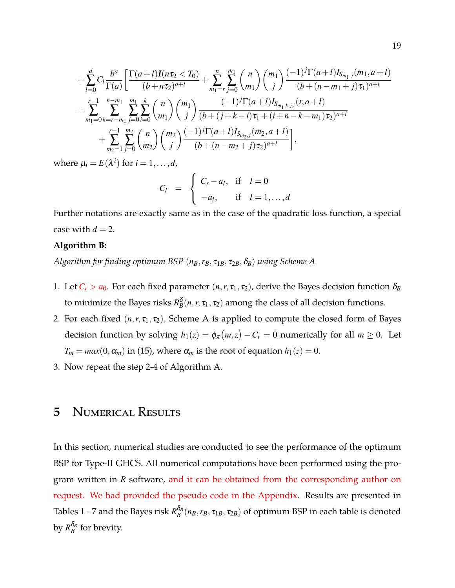$$
+\sum_{l=0}^{d}C_{l}\frac{b^{a}}{\Gamma(a)}\left[\frac{\Gamma(a+l)I(n\tau_{2}
$$

where  $\mu_i = E(\lambda^i)$  for  $i = 1, ..., d$ ,

$$
C_l = \begin{cases} C_r - a_l, & \text{if } l = 0 \\ -a_l, & \text{if } l = 1, ..., d \end{cases}
$$

Further notations are exactly same as in the case of the quadratic loss function, a special case with  $d = 2$ .

#### **Algorithm B:**

*Algorithm for finding optimum BSP*  $(n_B, r_B, \tau_{1B}, \tau_{2B}, \delta_B)$  *using Scheme A* 

- 1. Let  $C_r > a_0$ . For each fixed parameter  $(n, r, \tau_1, \tau_2)$ , derive the Bayes decision function  $\delta_B$ to minimize the Bayes risks  $R_B^{\delta}(n, r, \tau_1, \tau_2)$  among the class of all decision functions.
- 2. For each fixed  $(n, r, \tau_1, \tau_2)$ , Scheme A is applied to compute the closed form of Bayes decision function by solving  $h_1(z) = \phi_\pi(m, z) - C_r = 0$  numerically for all  $m \ge 0$ . Let  $T_m = max(0, \alpha_m)$  in [\(15\)](#page-10-0), where  $\alpha_m$  is the root of equation  $h_1(z) = 0$ .
- 3. Now repeat the step 2-4 of Algorithm A.

## **5** Numerical Results

In this section, numerical studies are conducted to see the performance of the optimum BSP for Type-II GHCS. All numerical computations have been performed using the program written in *R* software, and it can be obtained from the corresponding author on request. We had provided the pseudo code in the Appendix. Results are presented in Tables [1](#page-20-0) - [7](#page-23-0) and the Bayes risk  $R^{\delta_B}_B$  $B_B^{\sigma_B}(n_B, r_B, \tau_{1B}, \tau_{2B})$  of optimum BSP in each table is denoted by  $R_{B}^{\delta_{B}}$  $B_B^{\nu_B}$  for brevity.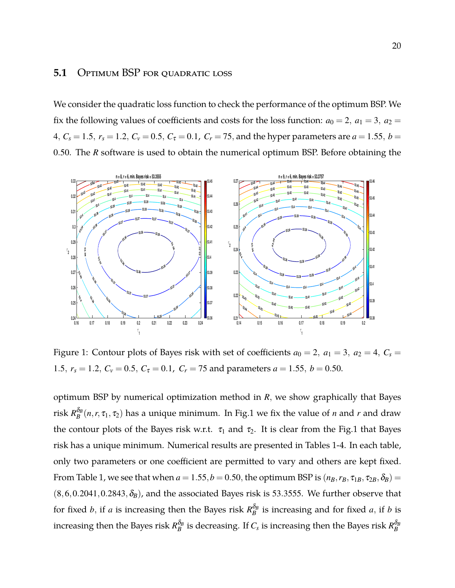#### 5.1 Optimum BSP for quadratic loss

We consider the quadratic loss function to check the performance of the optimum BSP. We fix the following values of coefficients and costs for the loss function:  $a_0 = 2$ ,  $a_1 = 3$ ,  $a_2 =$ 4,  $C_s = 1.5$ ,  $r_s = 1.2$ ,  $C_v = 0.5$ ,  $C_{\tau} = 0.1$ ,  $C_r = 75$ , and the hyper parameters are  $a = 1.55$ ,  $b =$ 0.50. The *R* software is used to obtain the numerical optimum BSP. Before obtaining the

<span id="page-19-0"></span>

Figure 1: Contour plots of Bayes risk with set of coefficients  $a_0 = 2$ ,  $a_1 = 3$ ,  $a_2 = 4$ ,  $C_s =$ 1.5,  $r_s = 1.2$ ,  $C_v = 0.5$ ,  $C_{\tau} = 0.1$ ,  $C_r = 75$  and parameters  $a = 1.55$ ,  $b = 0.50$ .

optimum BSP by numerical optimization method in *R*, we show graphically that Bayes risk *R* δ*B*  $B_B^{\sigma_B}(n,r,\tau_1,\tau_2)$  has a unique minimum. In Fig[.1](#page-19-0) we fix the value of *n* and *r* and draw the contour plots of the Bayes risk w.r.t.  $\tau_1$  and  $\tau_2$ . It is clear from the Fig[.1](#page-19-0) that Bayes risk has a unique minimum. Numerical results are presented in Tables [1](#page-20-0)[-4.](#page-21-0) In each table, only two parameters or one coefficient are permitted to vary and others are kept fixed. From Table [1,](#page-20-0) we see that when  $a = 1.55$ ,  $b = 0.50$ , the optimum BSP is  $(n_B, r_B, \tau_{1B}, \tau_{2B}, \delta_B) =$  $(8,6,0.2041,0.2843,\delta_B)$ , and the associated Bayes risk is 53.3555. We further observe that for fixed *b*, if *a* is increasing then the Bayes risk  $R_B^{\delta_B}$  $B_B^{\sigma_B}$  is increasing and for fixed *a*, if *b* is increasing then the Bayes risk  $R_B^{\delta_B}$  $\frac{\delta_B}{B}$  is decreasing. If  $C_s$  is increasing then the Bayes risk  $R_B^{\delta_B}$ *B*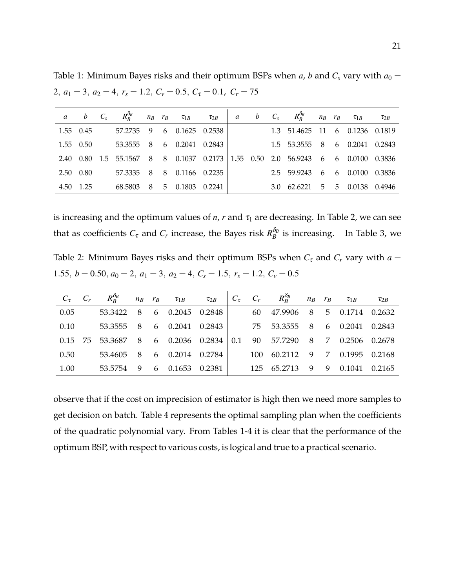<span id="page-20-0"></span>Table 1: Minimum Bayes risks and their optimum BSPs when *a*, *b* and  $C_s$  vary with  $a_0 =$ 2,  $a_1 = 3$ ,  $a_2 = 4$ ,  $r_s = 1.2$ ,  $C_v = 0.5$ ,  $C_{\tau} = 0.1$ ,  $C_r = 75$ 

|           | $a$ $b$ $C_s$ |                                                                            |     |   | $R_R^{\delta_B}$ $n_B$ $r_B$ $\tau_{1B}$ |        | $\tau_{2B}$ a b | $C_s$ | $R_R^{\delta_B}$ $n_B$ $r_B$ $\tau_{1B}$ |  |                   | $\tau_{2B}$ |
|-----------|---------------|----------------------------------------------------------------------------|-----|---|------------------------------------------|--------|-----------------|-------|------------------------------------------|--|-------------------|-------------|
| 1.55 0.45 |               | 57.2735                                                                    |     |   | 9 6 0.1625 0.2538                        |        |                 |       | 1.3 51.4625 11 6 0.1236 0.1819           |  |                   |             |
| 1.55 0.50 |               | 53.3555                                                                    | - 8 |   | 6 0.2041 0.2843                          |        |                 |       | 1.5 53.3555 8 6 0.2041 0.2843            |  |                   |             |
| 2.40      |               | 0.80 1.5 55.1567 8 8 0.1037 0.2173 1.55 0.50 2.0 56.9243 6 6 0.0100 0.3836 |     |   |                                          |        |                 |       |                                          |  |                   |             |
| 2.50 0.80 |               | 57.3335                                                                    | -8  |   | 8 0.1166 0.2235                          |        |                 |       | 2.5 59.9243                              |  | 6 6 0.0100 0.3836 |             |
| 4.50      | 1.25          | 68.5803                                                                    | 8   | 5 | 0.1803                                   | 0.2241 |                 |       | $3.0 \quad 62.6221$                      |  | 5 5 0.0138 0.4946 |             |

<span id="page-20-1"></span>is increasing and the optimum values of  $n$ ,  $r$  and  $\tau_1$  are decreasing. In Table [2,](#page-20-1) we can see that as coefficients  $C_{\tau}$  and  $C_r$  increase, the Bayes risk  $R_B^{\delta_B}$  $B_B^{\nu_B}$  is increasing. In Table [3,](#page-21-1) we

Table 2: Minimum Bayes risks and their optimum BSPs when  $C_{\tau}$  and  $C_r$  vary with  $a =$ 1.55,  $b = 0.50$ ,  $a_0 = 2$ ,  $a_1 = 3$ ,  $a_2 = 4$ ,  $C_s = 1.5$ ,  $r_s = 1.2$ ,  $C_v = 0.5$ 

|      | $C_{\tau}$ $C_{r}$ $R_{R}^{\delta_{B}}$ $n_{B}$ $r_{B}$ $\tau_{1B}$ $\tau_{2B}$ $C_{\tau}$ $C_{r}$ $R_{R}^{\delta_{B}}$ $n_{B}$ $r_{B}$ $\tau_{1B}$ |     |                   |     |                               |  |            | $\tau_{2B}$ |
|------|-----------------------------------------------------------------------------------------------------------------------------------------------------|-----|-------------------|-----|-------------------------------|--|------------|-------------|
| 0.05 | 53.3422                                                                                                                                             |     | 8 6 0.2045 0.2848 |     | 60 47.9906 8 5 0.1714 0.2632  |  |            |             |
| 0.10 | 53.3555 8 6 0.2041 0.2843                                                                                                                           |     |                   |     | 75 53.3555 8 6 0.2041 0.2843  |  |            |             |
|      | 0.15 75 53.3687 8 6 0.2036 0.2834                                                                                                                   |     |                   | 0.1 | 90 57.7290 8 7 0.2506 0.2678  |  |            |             |
| 0.50 | 53.4605                                                                                                                                             | - 8 | 6 0.2014 0.2784   |     | 100 60.2112 9 7 0.1995 0.2168 |  |            |             |
| 1.00 | 53.5754                                                                                                                                             |     | 9 6 0.1653 0.2381 |     | 125 65.2713                   |  | 9 9 0.1041 | 0.2165      |

observe that if the cost on imprecision of estimator is high then we need more samples to get decision on batch. Table [4](#page-21-0) represents the optimal sampling plan when the coefficients of the quadratic polynomial vary. From Tables [1](#page-20-0)[-4](#page-21-0) it is clear that the performance of the optimum BSP, with respect to various costs, is logical and true to a practical scenario.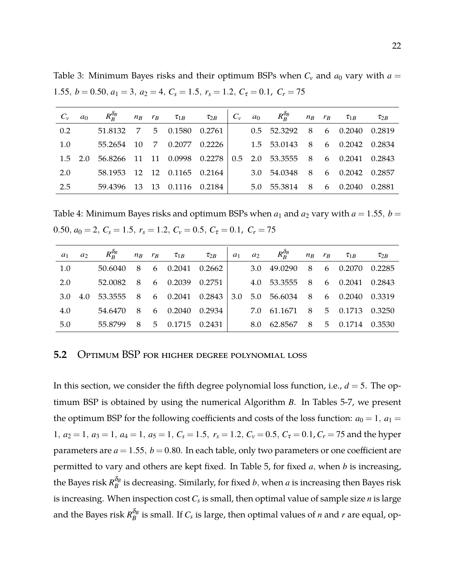<span id="page-21-1"></span>Table 3: Minimum Bayes risks and their optimum BSPs when  $C_v$  and  $a_0$  vary with  $a =$ 1.55,  $b = 0.50$ ,  $a_1 = 3$ ,  $a_2 = 4$ ,  $C_s = 1.5$ ,  $r_s = 1.2$ ,  $C_{\tau} = 0.1$ ,  $C_r = 75$ 

| $C_v$ | a <sub>0</sub> |                             |  |  |  | $R_R^{\delta_B}$ $n_B$ $r_B$ $\tau_{1B}$ $\tau_{2B}$ $C_v$ $a_0$ $R_R^{\delta_B}$ $n_B$ $r_B$ $\tau_{1B}$ $\tau_{2B}$ |  |  |
|-------|----------------|-----------------------------|--|--|--|-----------------------------------------------------------------------------------------------------------------------|--|--|
| 0.2   |                | 51.8132 7 5 0.1580 0.2761   |  |  |  | 0.5 52.3292 8 6 0.2040 0.2819                                                                                         |  |  |
| 1.0   |                | 55.2654 10 7 0.2077 0.2226  |  |  |  | 1.5 53.0143 8 6 0.2042 0.2834                                                                                         |  |  |
|       |                |                             |  |  |  | 1.5 2.0 56.8266 11 11 0.0998 0.2278 0.5 2.0 53.3555 8 6 0.2041 0.2843                                                 |  |  |
| 2.0   |                | 58.1953 12 12 0.1165 0.2164 |  |  |  | 3.0 54.0348 8 6 0.2042 0.2857                                                                                         |  |  |
| 2.5   |                | 59.4396 13 13 0.1116 0.2184 |  |  |  | 5.0 55.3814 8 6 0.2040 0.2881                                                                                         |  |  |

<span id="page-21-0"></span>Table 4: Minimum Bayes risks and optimum BSPs when  $a_1$  and  $a_2$  vary with  $a = 1.55$ ,  $b =$ 0.50,  $a_0 = 2$ ,  $C_s = 1.5$ ,  $r_s = 1.2$ ,  $C_v = 0.5$ ,  $C_{\tau} = 0.1$ ,  $C_r = 75$ 

| $a_1$ | $a_2$ |                           |     | $R_R^{\delta_B}$ $n_B$ $r_B$ $\tau_{1B}$ | $\tau_{2B}$ | $a_1$ | $a_2$ | $R^{\delta_B}_R$ $n_B$ $r_B$ $\tau_{1B}$ |  |                   | $\tau_{2B}$ |
|-------|-------|---------------------------|-----|------------------------------------------|-------------|-------|-------|------------------------------------------|--|-------------------|-------------|
| 1.0   |       | 50.6040                   | - 8 | 6 0.2041 0.2662                          |             |       |       | $3.0 \quad 49.0290$                      |  | 8 6 0.2070 0.2285 |             |
| 2.0   |       | 52.0082 8 6 0.2039 0.2751 |     |                                          |             |       |       | 4.0 53.3555 8 6 0.2041 0.2843            |  |                   |             |
| 3.O   | 4.0   | 53.3555 8 6 0.2041 0.2843 |     |                                          |             | 3.0   |       | 5.0 56.6034 8 6 0.2040 0.3319            |  |                   |             |
| 4.0   |       | 54.6470 8 6 0.2040 0.2934 |     |                                          |             |       |       | 7.0 61.1671 8 5 0.1713 0.3250            |  |                   |             |
| 5.0   |       | 55.8799 8 5 0.1715 0.2431 |     |                                          |             |       |       | 8.0 62.8567 8 5 0.1714 0.3530            |  |                   |             |

#### **5.2** Optimum BSP for higher degree polynomial loss

In this section, we consider the fifth degree polynomial loss function, i.e.,  $d = 5$ . The optimum BSP is obtained by using the numerical Algorithm *B*. In Tables [5](#page-22-0)[-7,](#page-23-0) we present the optimum BSP for the following coefficients and costs of the loss function:  $a_0 = 1$ ,  $a_1 =$ 1,  $a_2 = 1$ ,  $a_3 = 1$ ,  $a_4 = 1$ ,  $a_5 = 1$ ,  $C_s = 1.5$ ,  $r_s = 1.2$ ,  $C_v = 0.5$ ,  $C_{\tau} = 0.1$ ,  $C_r = 75$  and the hyper parameters are  $a = 1.55$ ,  $b = 0.80$ . In each table, only two parameters or one coefficient are permitted to vary and others are kept fixed. In Table [5,](#page-22-0) for fixed *a*, when *b* is increasing, the Bayes risk  $R^{\delta_B}_B$  $B_B^{\sigma_B}$  is decreasing. Similarly, for fixed *b*, when *a* is increasing then Bayes risk is increasing. When inspection cost*C<sup>s</sup>* is small, then optimal value of sample size *n* is large and the Bayes risk  $R_{B}^{\delta_{B}}$  $B_B^{\sigma_B}$  is small. If  $C_s$  is large, then optimal values of *n* and *r* are equal, op-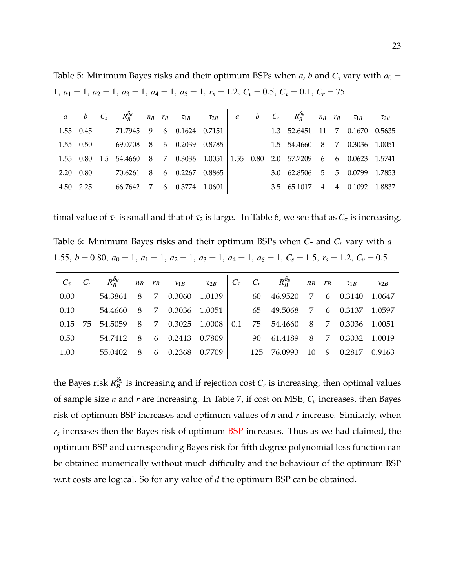<span id="page-22-0"></span>Table 5: Minimum Bayes risks and their optimum BSPs when *a*, *b* and  $C_s$  vary with  $a_0 =$ 1,  $a_1 = 1$ ,  $a_2 = 1$ ,  $a_3 = 1$ ,  $a_4 = 1$ ,  $a_5 = 1$ ,  $r_s = 1.2$ ,  $C_v = 0.5$ ,  $C_{\tau} = 0.1$ ,  $C_r = 75$ 

|           | $a$ $b$ $C_s$    |                                                                                 |   | $R_B^{\delta_B}$ $n_B$ $r_B$ $\tau_{1B}$ |        | $\tau_{2B}$ a b $C_s$ |  |                                |  | $R_R^{\delta_B}$ $n_B$ $r_B$ $\tau_{1B}$ | $\tau_{2B}$ |
|-----------|------------------|---------------------------------------------------------------------------------|---|------------------------------------------|--------|-----------------------|--|--------------------------------|--|------------------------------------------|-------------|
|           | 1.55 0.45        | 71.7945 9 6 0.1624 0.7151                                                       |   |                                          |        |                       |  | 1.3 52.6451 11 7 0.1670 0.5635 |  |                                          |             |
|           | 1.55 0.50        | 69.0708                                                                         |   | 8 6 0.2039 0.8785                        |        |                       |  | 1.5 54.4660 8 7 0.3036 1.0051  |  |                                          |             |
|           |                  | 1.55 0.80 1.5 54.4660 8 7 0.3036 1.0051 1.55 0.80 2.0 57.7209 6 6 0.0623 1.5741 |   |                                          |        |                       |  |                                |  |                                          |             |
|           | $2.20\quad 0.80$ | 70.6261 8                                                                       |   | 6  0.2267  0.8865                        |        |                       |  | 3.0 62.8506 5 5 0.0799 1.7853  |  |                                          |             |
| 4.50 2.25 |                  | 66.7642                                                                         | 7 | 6 0.3774                                 | 1.0601 |                       |  | 3.5 65.1017 4 4 0.1092 1.8837  |  |                                          |             |

<span id="page-22-1"></span>timal value of  $\tau_1$  is small and that of  $\tau_2$  is large. In Table [6,](#page-22-1) we see that as  $C_{\tau}$  is increasing,

Table 6: Minimum Bayes risks and their optimum BSPs when  $C_{\tau}$  and  $C_r$  vary with  $a =$ 1.55,  $b = 0.80$ ,  $a_0 = 1$ ,  $a_1 = 1$ ,  $a_2 = 1$ ,  $a_3 = 1$ ,  $a_4 = 1$ ,  $a_5 = 1$ ,  $C_s = 1.5$ ,  $r_s = 1.2$ ,  $C_v = 0.5$ 

|      |                           |     |                   |     | $C_{\tau}$ $C_{r}$ $R_{R}^{\delta_{B}}$ $n_{B}$ $r_{B}$ $\tau_{1B}$ $\tau_{2B}$ $C_{\tau}$ $C_{r}$ $R_{R}^{\delta_{B}}$ $n_{B}$ $r_{B}$ $\tau_{1B}$ |    |                 | $\tau_{2B}$ |
|------|---------------------------|-----|-------------------|-----|-----------------------------------------------------------------------------------------------------------------------------------------------------|----|-----------------|-------------|
| 0.00 | 54.3861 8 7 0.3060 1.0139 |     |                   |     | 60 46.9520 7 6 0.3140 1.0647                                                                                                                        |    |                 |             |
| 0.10 | 54.4660 8 7 0.3036 1.0051 |     |                   |     | 65 49.5068 7 6 0.3137 1.0597                                                                                                                        |    |                 |             |
|      | 0.15 75 54.5059           |     | 8 7 0.3025 1.0008 | 0.1 | 75 54.4660 8 7 0.3036 1.0051                                                                                                                        |    |                 |             |
| 0.50 | 54.7412 8                 |     | 6 0.2413 0.7809   |     | 90 61.4189 8 7 0.3032 1.0019                                                                                                                        |    |                 |             |
| 1.00 | 55.0402                   | - 8 | 6 0.2368 0.7709   |     | 125 76.0993                                                                                                                                         | 10 | 9 0.2817 0.9163 |             |

the Bayes risk  $R_B^{\delta_B}$  $B_B^{\sigma_B}$  is increasing and if rejection cost  $C_r$  is increasing, then optimal values of sample size *n* and *r* are increasing. In Table [7,](#page-23-0) if cost on MSE, *C<sup>v</sup>* increases, then Bayes risk of optimum BSP increases and optimum values of *n* and *r* increase. Similarly, when *rs* increases then the Bayes risk of optimum BSP increases. Thus as we had claimed, the optimum BSP and corresponding Bayes risk for fifth degree polynomial loss function can be obtained numerically without much difficulty and the behaviour of the optimum BSP w.r.t costs are logical. So for any value of *d* the optimum BSP can be obtained.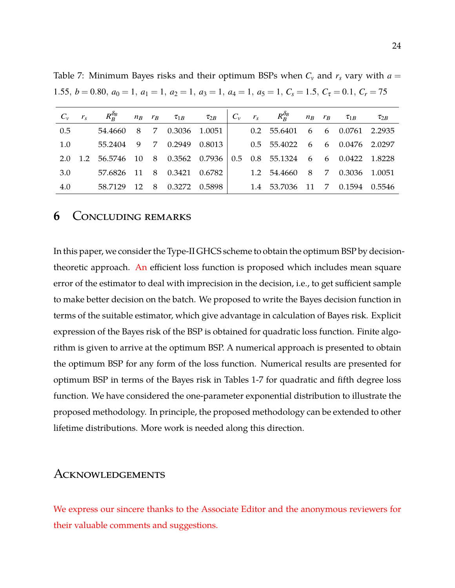| $C_v$ $r_s$ | $R^{\delta_B}_R$ $n_B$ $r_B$ $\tau_{1B}$ $\tau_{2B}$ $C_v$ $r_s$ $R^{\delta_B}_R$ $n_B$ $r_B$ $\tau_{1B}$ $\tau_{2B}$ |  |  |  |                                |  |  |
|-------------|-----------------------------------------------------------------------------------------------------------------------|--|--|--|--------------------------------|--|--|
| 0.5         | 54.4660 8 7 0.3036 1.0051                                                                                             |  |  |  | 0.2 55.6401 6 6 0.0761 2.2935  |  |  |
| 1.0         | 55.2404 9 7 0.2949 0.8013                                                                                             |  |  |  | 0.5 55.4022 6 6 0.0476 2.0297  |  |  |
| 2.0         | 1.2 56.5746 10 8 0.3562 0.7936 0.5 0.8 55.1324 6 6 0.0422 1.8228                                                      |  |  |  |                                |  |  |
| 3.0         | 57.6826 11 8 0.3421 0.6782                                                                                            |  |  |  | 1.2 54.4660 8 7 0.3036 1.0051  |  |  |
| 4.0         | 58.7129 12 8 0.3272 0.5898                                                                                            |  |  |  | 1.4 53.7036 11 7 0.1594 0.5546 |  |  |

<span id="page-23-0"></span>Table 7: Minimum Bayes risks and their optimum BSPs when  $C_v$  and  $r_s$  vary with  $a =$ 1.55,  $b = 0.80$ ,  $a_0 = 1$ ,  $a_1 = 1$ ,  $a_2 = 1$ ,  $a_3 = 1$ ,  $a_4 = 1$ ,  $a_5 = 1$ ,  $C_s = 1.5$ ,  $C_\tau = 0.1$ ,  $C_r = 75$ 

#### **6** Concluding remarks

In this paper, we consider the Type-II GHCS scheme to obtain the optimum BSP by decisiontheoretic approach. An efficient loss function is proposed which includes mean square error of the estimator to deal with imprecision in the decision, i.e., to get sufficient sample to make better decision on the batch. We proposed to write the Bayes decision function in terms of the suitable estimator, which give advantage in calculation of Bayes risk. Explicit expression of the Bayes risk of the BSP is obtained for quadratic loss function. Finite algorithm is given to arrive at the optimum BSP. A numerical approach is presented to obtain the optimum BSP for any form of the loss function. Numerical results are presented for optimum BSP in terms of the Bayes risk in Tables [1-](#page-20-0)[7](#page-23-0) for quadratic and fifth degree loss function. We have considered the one-parameter exponential distribution to illustrate the proposed methodology. In principle, the proposed methodology can be extended to other lifetime distributions. More work is needed along this direction.

#### Acknowledgements

We express our sincere thanks to the Associate Editor and the anonymous reviewers for their valuable comments and suggestions.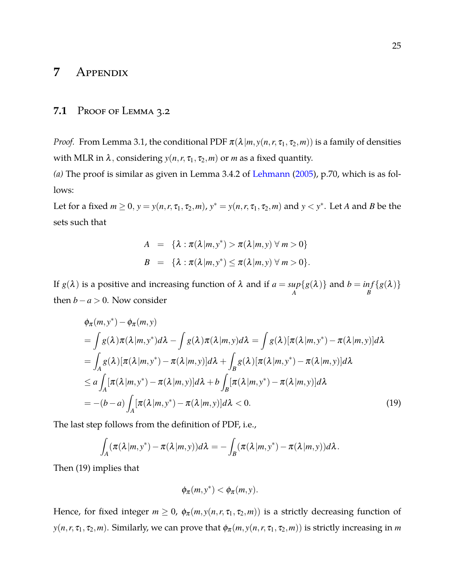## **7** Appendix

#### **7.1** Proof of Lemma [3.2](#page-9-0)

*Proof.* From Lemma [3.1,](#page-8-1) the conditional PDF  $\pi(\lambda|m, y(n, r, \tau_1, \tau_2, m))$  is a family of densities with MLR in  $\lambda$ , considering  $y(n, r, \tau_1, \tau_2, m)$  or *m* as a fixed quantity.

*(a)* The proof is similar as given in Lemma 3.4.2 of [Lehmann](#page-36-8) [\(2005\)](#page-36-8), p.70, which is as follows:

Let for a fixed  $m \geq 0$ ,  $y = y(n, r, \tau_1, \tau_2, m)$ ,  $y^* = y(n, r, \tau_1, \tau_2, m)$  and  $y < y^*$ . Let *A* and *B* be the sets such that

$$
A = \{ \lambda : \pi(\lambda|m, y^*) > \pi(\lambda|m, y) \forall m > 0 \}
$$
  

$$
B = \{ \lambda : \pi(\lambda|m, y^*) \leq \pi(\lambda|m, y) \forall m > 0 \}.
$$

If  $g(\lambda)$  is a positive and increasing function of  $\lambda$  and if  $a = sup$ *A*  ${g(\lambda)}$  and  $b = inf$ *B*  $\{g(\pmb{\lambda})\}$ then  $b - a > 0$ . Now consider

<span id="page-24-0"></span>
$$
\phi_{\pi}(m, y^*) - \phi_{\pi}(m, y)
$$
\n
$$
= \int g(\lambda) \pi(\lambda | m, y^*) d\lambda - \int g(\lambda) \pi(\lambda | m, y) d\lambda = \int g(\lambda) [\pi(\lambda | m, y^*) - \pi(\lambda | m, y)] d\lambda
$$
\n
$$
= \int_A g(\lambda) [\pi(\lambda | m, y^*) - \pi(\lambda | m, y)] d\lambda + \int_B g(\lambda) [\pi(\lambda | m, y^*) - \pi(\lambda | m, y)] d\lambda
$$
\n
$$
\leq a \int_A [\pi(\lambda | m, y^*) - \pi(\lambda | m, y)] d\lambda + b \int_B [\pi(\lambda | m, y^*) - \pi(\lambda | m, y)] d\lambda
$$
\n
$$
= -(b - a) \int_A [\pi(\lambda | m, y^*) - \pi(\lambda | m, y)] d\lambda < 0. \tag{19}
$$

The last step follows from the definition of PDF, i.e.,

$$
\int_A (\pi(\lambda|m,y^*) - \pi(\lambda|m,y))d\lambda = -\int_B (\pi(\lambda|m,y^*) - \pi(\lambda|m,y))d\lambda.
$$

Then [\(19\)](#page-24-0) implies that

$$
\phi_{\pi}(m, y^*) < \phi_{\pi}(m, y).
$$

Hence, for fixed integer  $m \ge 0$ ,  $\phi_{\pi}(m, y(n, r, \tau_1, \tau_2, m))$  is a strictly decreasing function of  $y(n, r, \tau_1, \tau_2, m)$ . Similarly, we can prove that  $\phi_\pi(m, y(n, r, \tau_1, \tau_2, m))$  is strictly increasing in *m*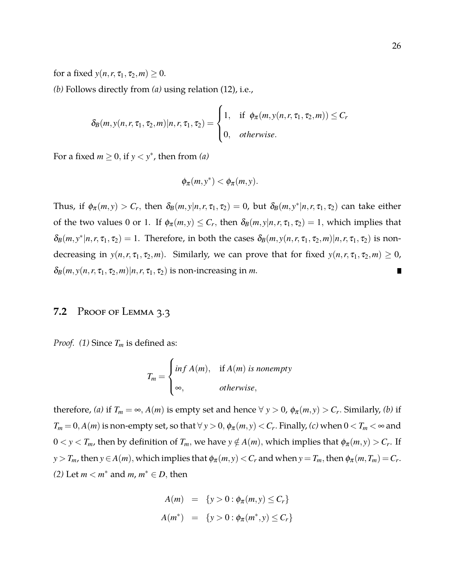for a fixed  $y(n, r, \tau_1, \tau_2, m) \geq 0$ . *(b)* Follows directly from *(a)* using relation [\(12\)](#page-8-0), i.e.,

$$
\delta_B(m, y(n, r, \tau_1, \tau_2, m) | n, r, \tau_1, \tau_2) = \begin{cases} 1, & \text{if } \phi_\pi(m, y(n, r, \tau_1, \tau_2, m)) \le C_r \\ 0, & \text{otherwise.} \end{cases}
$$

For a fixed  $m \geq 0$ , if  $y < y^*$ , then from *(a)* 

$$
\phi_{\pi}(m, y^*) < \phi_{\pi}(m, y).
$$

Thus, if  $\phi_{\pi}(m, y) > C_r$ , then  $\delta_B(m, y|n, r, \tau_1, \tau_2) = 0$ , but  $\delta_B(m, y^*|n, r, \tau_1, \tau_2)$  can take either of the two values 0 or 1. If  $\phi_{\pi}(m, y) \leq C_r$ , then  $\delta_B(m, y|n, r, \tau_1, \tau_2) = 1$ , which implies that  $\delta_B(m, y^*|n, r, \tau_1, \tau_2) = 1$ . Therefore, in both the cases  $\delta_B(m, y(n, r, \tau_1, \tau_2, m)|n, r, \tau_1, \tau_2)$  is nondecreasing in  $y(n, r, \tau_1, \tau_2, m)$ . Similarly, we can prove that for fixed  $y(n, r, \tau_1, \tau_2, m) \ge 0$ ,  $\delta_B(m, y(n, r, \tau_1, \tau_2, m) | n, r, \tau_1, \tau_2)$  is non-increasing in *m*.

#### **7.2** Proof of Lemma [3.3](#page-9-2)

*Proof. (1)* Since *T<sup>m</sup>* is defined as:

$$
T_m = \begin{cases} \inf A(m), & \text{if } A(m) \text{ is nonempty} \\ \infty, & \text{otherwise,} \end{cases}
$$

therefore, *(a)* if  $T_m = \infty$ ,  $A(m)$  is empty set and hence  $\forall y > 0$ ,  $\phi_{\pi}(m, y) > C_r$ . Similarly, *(b)* if  $T_m = 0$ ,  $A(m)$  is non-empty set, so that  $\forall y > 0$ ,  $\phi_\pi(m, y) < C_r$ . Finally, (c) when  $0 < T_m < \infty$  and  $0 < y < T_m$ , then by definition of  $T_m$ , we have  $y \notin A(m)$ , which implies that  $\phi_{\pi}(m, y) > C_r$ . If *y* > *T<sub>m</sub>*, then *y*  $\in$  *A*(*m*), which implies that  $\phi_{\pi}(m, y)$  < *C<sub>r</sub>* and when *y* = *T<sub>m</sub>*, then  $\phi_{\pi}(m, T_m)$  = *C<sub>r</sub>*.  $(2)$  Let  $m < m^*$  and  $m, m^* \in D$ , then

$$
A(m) = \{y > 0 : \phi_{\pi}(m, y) \le C_r \}
$$
  

$$
A(m^*) = \{y > 0 : \phi_{\pi}(m^*, y) \le C_r \}
$$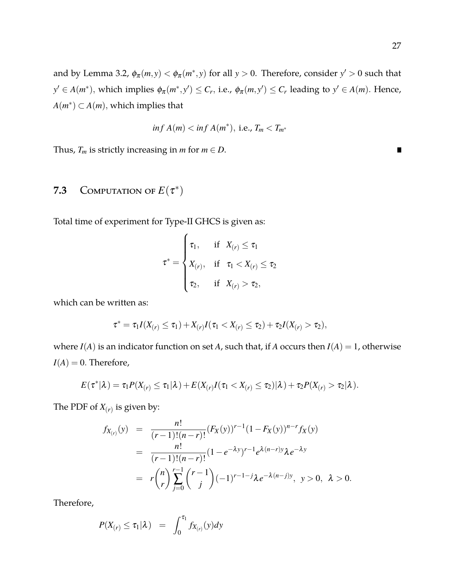and by Lemma [3.2,](#page-9-0)  $\phi_{\pi}(m, y) < \phi_{\pi}(m^*, y)$  for all  $y > 0$ . Therefore, consider  $y' > 0$  such that  $y' \in A(m^*),$  which implies  $\phi_{\pi}(m^*, y') \leq C_r$ , i.e.,  $\phi_{\pi}(m, y') \leq C_r$  leading to  $y' \in A(m)$ . Hence,  $A(m^*) \subset A(m)$ , which implies that

$$
inf A(m) < inf A(m^*), \text{ i.e., } T_m < T_{m^*}
$$

Thus,  $T_m$  is strictly increasing in  $m$  for  $m \in D$ .

## **7.3** COMPUTATION OF  $E(\tau^*)$

Total time of experiment for Type-II GHCS is given as:

$$
\tau^* = \begin{cases} \tau_1, & \text{if} \quad X_{(r)} \le \tau_1 \\ X_{(r)}, & \text{if} \quad \tau_1 < X_{(r)} \le \tau_2 \\ \tau_2, & \text{if} \quad X_{(r)} > \tau_2, \end{cases}
$$

which can be written as:

$$
\tau^* = \tau_1 I(X_{(r)} \leq \tau_1) + X_{(r)} I(\tau_1 < X_{(r)} \leq \tau_2) + \tau_2 I(X_{(r)} > \tau_2),
$$

where  $I(A)$  is an indicator function on set *A*, such that, if *A* occurs then  $I(A) = 1$ , otherwise  $I(A) = 0$ . Therefore,

$$
E(\tau^* | \lambda) = \tau_1 P(X_{(r)} \leq \tau_1 | \lambda) + E(X_{(r)} I(\tau_1 < X_{(r)} \leq \tau_2) | \lambda) + \tau_2 P(X_{(r)} > \tau_2 | \lambda).
$$

The PDF of  $X_{(r)}$  is given by:

$$
f_{X_{(r)}}(y) = \frac{n!}{(r-1)!(n-r)!} (F_X(y))^{r-1} (1 - F_X(y))^{n-r} f_X(y)
$$
  
= 
$$
\frac{n!}{(r-1)!(n-r)!} (1 - e^{-\lambda y})^{r-1} e^{\lambda (n-r)y} \lambda e^{-\lambda y}
$$
  
= 
$$
r \binom{n}{r} \sum_{j=0}^{r-1} \binom{r-1}{j} (-1)^{r-1-j} \lambda e^{-\lambda (n-j)y}, \quad y > 0, \quad \lambda > 0.
$$

Therefore,

$$
P(X_{(r)} \leq \tau_1 | \lambda) = \int_0^{\tau_1} f_{X_{(r)}}(y) dy
$$

 $\blacksquare$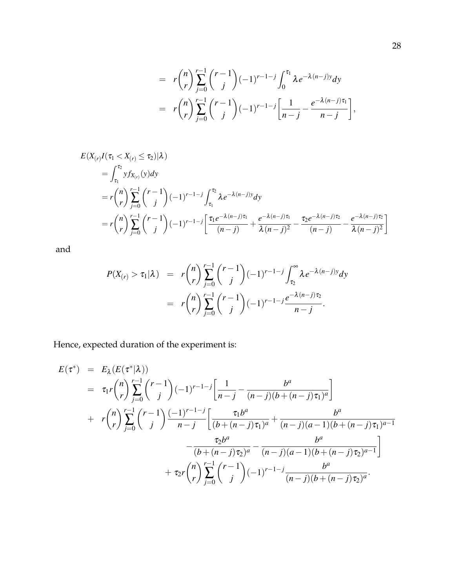$$
= r {n \choose r} \sum_{j=0}^{r-1} {r-1 \choose j} (-1)^{r-1-j} \int_0^{\tau_1} \lambda e^{-\lambda (n-j)y} dy
$$
  

$$
= r {n \choose r} \sum_{j=0}^{r-1} {r-1 \choose j} (-1)^{r-1-j} \left[ \frac{1}{n-j} - \frac{e^{-\lambda (n-j)\tau_1}}{n-j} \right],
$$

$$
E(X_{(r)}I(\tau_1 < X_{(r)} \leq \tau_2)|\lambda)
$$
\n
$$
= \int_{\tau_1}^{\tau_2} y f_{X_{(r)}}(y) dy
$$
\n
$$
= r \binom{n}{r} \sum_{j=0}^{r-1} \binom{r-1}{j} (-1)^{r-1-j} \int_{\tau_1}^{\tau_2} \lambda e^{-\lambda(n-j)y} dy
$$
\n
$$
= r \binom{n}{r} \sum_{j=0}^{r-1} \binom{r-1}{j} (-1)^{r-1-j} \left[ \frac{\tau_1 e^{-\lambda(n-j)\tau_1}}{(n-j)} + \frac{e^{-\lambda(n-j)\tau_1}}{\lambda(n-j)^2} - \frac{\tau_2 e^{-\lambda(n-j)\tau_2}}{(n-j)} - \frac{e^{-\lambda(n-j)\tau_2}}{\lambda(n-j)^2} \right]
$$

and

$$
P(X_{(r)} > \tau_1 | \lambda) = r {n \choose r} \sum_{j=0}^{r-1} {r-1 \choose j} (-1)^{r-1-j} \int_{\tau_2}^{\infty} \lambda e^{-\lambda (n-j)y} dy
$$
  
=  $r {n \choose r} \sum_{j=0}^{r-1} {r-1 \choose j} (-1)^{r-1-j} \frac{e^{-\lambda (n-j)\tau_2}}{n-j}.$ 

Hence, expected duration of the experiment is:

$$
E(\tau^*) = E_{\lambda}(E(\tau^*|\lambda))
$$
  
\n
$$
= \tau_1 r \binom{n}{r} \sum_{j=0}^{r-1} \binom{r-1}{j} (-1)^{r-1-j} \left[ \frac{1}{n-j} - \frac{b^a}{(n-j)(b + (n-j)\tau_1)^a} \right]
$$
  
\n
$$
+ r \binom{n}{r} \sum_{j=0}^{r-1} \binom{r-1}{j} \frac{(-1)^{r-1-j}}{n-j} \left[ \frac{\tau_1 b^a}{(b + (n-j)\tau_1)^a} + \frac{b^a}{(n-j)(a-1)(b + (n-j)\tau_1)^{a-1}} - \frac{\tau_2 b^a}{(b + (n-j)\tau_2)^a} - \frac{b^a}{(n-j)(a-1)(b + (n-j)\tau_2)^{a-1}} \right]
$$
  
\n
$$
+ \tau_2 r \binom{n}{r} \sum_{j=0}^{r-1} \binom{r-1}{j} (-1)^{r-1-j} \frac{b^a}{(n-j)(b + (n-j)\tau_2)^a}.
$$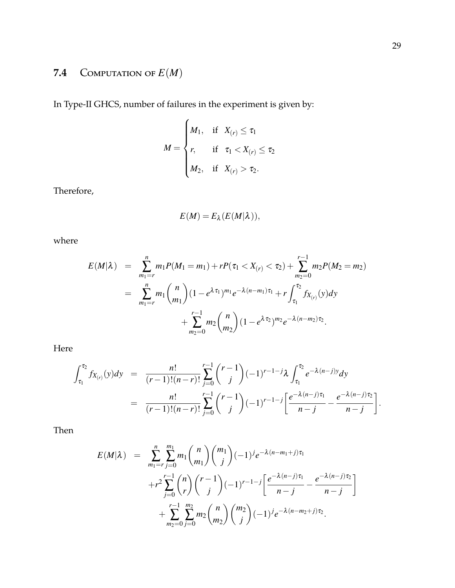# **7.4** COMPUTATION OF  $E(M)$

In Type-II GHCS, number of failures in the experiment is given by:

$$
M = \begin{cases} M_1, & \text{if } X_{(r)} \le \tau_1 \\ r, & \text{if } \tau_1 < X_{(r)} \le \tau_2 \\ M_2, & \text{if } X_{(r)} > \tau_2. \end{cases}
$$

Therefore,

$$
E(M) = E_{\lambda}(E(M|\lambda)),
$$

where

$$
E(M|\lambda) = \sum_{m_1=r}^{n} m_1 P(M_1 = m_1) + rP(\tau_1 < X_{(r)} < \tau_2) + \sum_{m_2=0}^{r-1} m_2 P(M_2 = m_2)
$$
\n
$$
= \sum_{m_1=r}^{n} m_1 {n \choose m_1} (1 - e^{\lambda \tau_1})^{m_1} e^{-\lambda (n-m_1)\tau_1} + r \int_{\tau_1}^{\tau_2} f_{X_{(r)}}(y) dy + \sum_{m_2=0}^{r-1} m_2 {n \choose m_2} (1 - e^{\lambda \tau_2})^{m_2} e^{-\lambda (n-m_2)\tau_2}.
$$

Here

$$
\int_{\tau_1}^{\tau_2} f_{X_{(r)}}(y) dy = \frac{n!}{(r-1)!(n-r)!} \sum_{j=0}^{r-1} {r-1 \choose j} (-1)^{r-1-j} \lambda \int_{\tau_1}^{\tau_2} e^{-\lambda(n-j)y} dy
$$
  
= 
$$
\frac{n!}{(r-1)!(n-r)!} \sum_{j=0}^{r-1} {r-1 \choose j} (-1)^{r-1-j} \left[ \frac{e^{-\lambda(n-j)\tau_1}}{n-j} - \frac{e^{-\lambda(n-j)\tau_2}}{n-j} \right].
$$

Then

$$
E(M|\lambda) = \sum_{m_1=r}^{n} \sum_{j=0}^{m_1} m_1 {n \choose m_1} {m_1 \choose j} (-1)^j e^{-\lambda (n-m_1+j)\tau_1} + r^2 \sum_{j=0}^{r-1} {n \choose r} {r-1 \choose j} (-1)^{r-1-j} \left[ \frac{e^{-\lambda (n-j)\tau_1}}{n-j} - \frac{e^{-\lambda (n-j)\tau_2}}{n-j} \right] + \sum_{m_2=0}^{r-1} \sum_{j=0}^{m_2} m_2 {n \choose m_2} {m_2 \choose j} (-1)^j e^{-\lambda (n-m_2+j)\tau_2}.
$$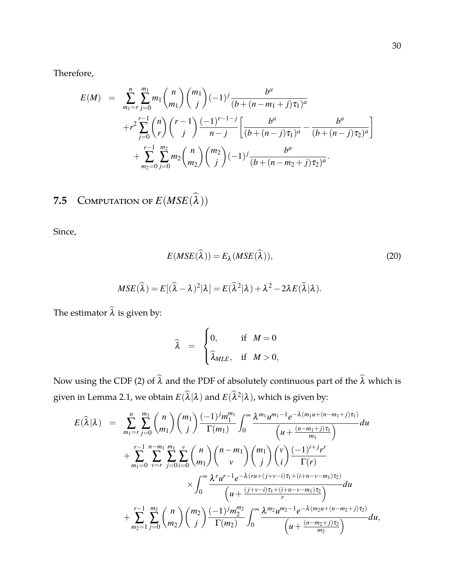Therefore,

$$
E(M) = \sum_{m_1=r}^{n} \sum_{j=0}^{m_1} m_1 {n \choose m_1} {m_1 \choose j} (-1)^j \frac{b^a}{(b + (n - m_1 + j)\tau_1)^a}
$$
  
+
$$
r^2 \sum_{j=0}^{r-1} {n \choose r} {r-1 \choose j} \frac{(-1)^{r-1-j}}{n-j} \left[ \frac{b^a}{(b + (n-j)\tau_1)^a} - \frac{b^a}{(b + (n-j)\tau_2)^a} \right]
$$
  
+
$$
\sum_{m_2=0}^{r-1} \sum_{j=0}^{m_2} m_2 {n \choose m_2} {m_2 \choose j} (-1)^j \frac{b^a}{(b + (n - m_2 + j)\tau_2)^a}.
$$

# **7.5** COMPUTATION OF  $E(MSE(\lambda))$

Since,

<span id="page-29-0"></span>
$$
E(MSE(\widehat{\lambda})) = E_{\lambda}(MSE(\widehat{\lambda})),
$$
\n(20)

$$
MSE(\widehat{\lambda}) = E[(\widehat{\lambda} - \lambda)^2 | \lambda] = E(\widehat{\lambda}^2 | \lambda) + \lambda^2 - 2\lambda E(\widehat{\lambda} | \lambda).
$$

The estimator  $\widehat{\lambda}$  is given by:

$$
\widehat{\lambda} = \begin{cases} 0, & \text{if } M = 0 \\ \widehat{\lambda}_{MLE}, & \text{if } M > 0, \end{cases}
$$

Now using the CDF [\(2\)](#page-4-0) of  $\hat{\lambda}$  and the PDF of absolutely continuous part of the  $\hat{\lambda}$  which is given in Lemma [2.1,](#page-5-0) we obtain  $E(\widehat{\lambda}|\lambda)$  and  $E(\widehat{\lambda}^2|\lambda)$ , which is given by:

$$
E(\widehat{\lambda}|\lambda) = \sum_{m_1=r}^{n} \sum_{j=0}^{m_1} {n \choose m_1} {m_1 \choose j} \frac{(-1)^j m_1^{m_1}}{\Gamma(m_1)} \int_0^{\infty} \frac{\lambda^{m_1} u^{m_1-1} e^{-\lambda (m_1 u + (n-m_1+j)\tau_1)}}{(u + \frac{(n-m_1+j)\tau_1}{m_1})} du + \sum_{m_1=0}^{r-1} \sum_{v=r}^{n-m_1} \sum_{j=0}^{m_1} \sum_{i=0}^{v} {n \choose m_1} {n-m_1 \choose v} {m_1 \choose j} {v \choose i} \frac{(-1)^{i+j} r^r}{\Gamma(r)} \times \int_0^{\infty} \frac{\lambda^r u^{r-1} e^{-\lambda (ru + (j+v-i)\tau_1 + (i+n-v-m_1)\tau_2)}}{(u + \frac{(j+v-i)\tau_1 + (i+n-v-m_1)\tau_2}{r})} du + \sum_{m_2=1}^{r-1} \sum_{j=0}^{m_2} {n \choose m_2} {m_2 \choose j} \frac{(-1)^j m_2^{m_2}}{\Gamma(m_2)} \int_0^{\infty} \frac{\lambda^{m_2} u^{m_2-1} e^{-\lambda (m_2 u + (n-m_2+j)\tau_2)}}{(u + \frac{(n-m_2+j)\tau_2}{m_2})} du,
$$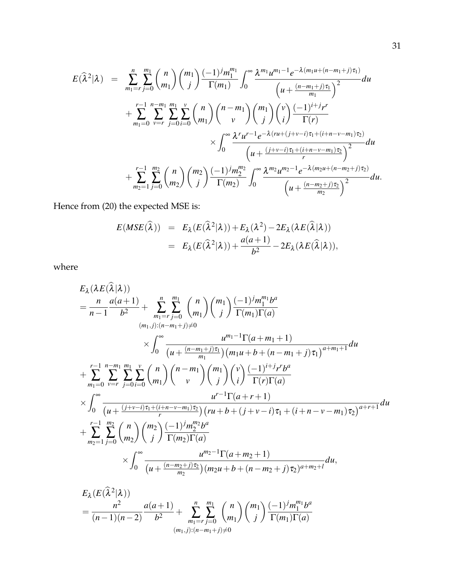$$
E(\hat{\lambda}^{2}|\lambda) = \sum_{m_1=r}^{n} \sum_{j=0}^{m_1} {n \choose m_1} {m_1 \choose j} \frac{(-1)^j m_1^{m_1}}{\Gamma(m_1)} \int_0^{\infty} \frac{\lambda^{m_1} u^{m_1-1} e^{-\lambda (m_1 u + (n-m_1+j)\tau_1)}}{(u + \frac{(n-m_1+j)\tau_1}{m_1})^2} du + \sum_{m_1=0}^{r-1} \sum_{v=r}^{n-m_1} \sum_{j=0}^{m_1} \sum_{i=0}^{v} {n \choose m_1} {n-m_1 \choose v} {m_1 \choose j} {v \choose i} \frac{(-1)^{i+j} r^r}{\Gamma(r)} \times \int_0^{\infty} \frac{\lambda^r u^{r-1} e^{-\lambda (ru + (j+v-i)\tau_1 + (i+n-v-m_1)\tau_2)}}{(u + \frac{(j+v-i)\tau_1 + (i+n-v-m_1)\tau_2}{r})^2} du + \sum_{m_2=1}^{r-1} \sum_{j=0}^{m_2} {n \choose m_2} {m_2 \choose j} \frac{(-1)^j m_2^{m_2}}{\Gamma(m_2)} \int_0^{\infty} \frac{\lambda^{m_2} u^{m_2-1} e^{-\lambda (m_2 u + (n-m_2+j)\tau_2)}}{(u + \frac{(n-m_2+j)\tau_2}{m_2})^2} du.
$$

Hence from [\(20\)](#page-29-0) the expected MSE is:

$$
E(MSE(\widehat{\lambda})) = E_{\lambda}(E(\widehat{\lambda}^{2}|\lambda)) + E_{\lambda}(\lambda^{2}) - 2E_{\lambda}(\lambda E(\widehat{\lambda}|\lambda))
$$
  
=  $E_{\lambda}(E(\widehat{\lambda}^{2}|\lambda)) + \frac{a(a+1)}{b^{2}} - 2E_{\lambda}(\lambda E(\widehat{\lambda}|\lambda)),$ 

where

$$
E_{\lambda}(\lambda E(\lambda | \lambda))
$$
\n
$$
= \frac{n}{n-1} \frac{a(a+1)}{b^2} + \sum_{m_1=r}^{n} \sum_{j=0}^{m_1} {n \choose m_1} {m_1 \choose j} \frac{(-1)^j m_1^{m_1} b^a}{\Gamma(m_1) \Gamma(a)}
$$
\n
$$
\times \int_0^{\infty} \frac{u^{m_1-1} \Gamma(a+m_1+1)}{(u + \frac{(n-m_1+j)\tau_1}{m_1})(m_1u + b + (n-m_1+j)\tau_1)^{a+m_1+1}} du
$$
\n
$$
+ \sum_{m_1=0}^{r-1} \sum_{v=r}^{n-m_1} \sum_{j=0}^{m_1} \sum_{i=0}^{v} {n \choose m_1} {n-m_1 \choose v} {m_1 \choose j} {v \choose i} \frac{(-1)^{i+j} r^{i+j}}{\Gamma(r) \Gamma(a)}
$$
\n
$$
\times \int_0^{\infty} \frac{u^{r-1} \Gamma(a+r+1)}{(u + \frac{(j+v-i)\tau_1+(i+n-v-m_1)\tau_2}{r})(ru + b + (j+v-i)\tau_1+(i+n-v-m_1)\tau_2)^{a+r+1}} du
$$
\n
$$
+ \sum_{m_2=1}^{r-1} \sum_{j=0}^{m_2} {n \choose m_2} {m_2 \choose j} \frac{(-1)^j m_2^{m_2} b^a}{\Gamma(m_2) \Gamma(a)}
$$
\n
$$
\times \int_0^{\infty} \frac{u^{m_2-1} \Gamma(a+m_2+1)}{(u + \frac{(n-m_2+j)\tau_2}{m_2})(m_2u + b + (n-m_2+j)\tau_2)^{a+m_2+l}} du,
$$
\n
$$
E_{\lambda}(\widehat{E}(\widehat{\lambda}^{2}|3))
$$

$$
E_{\lambda}(E(\lambda^2|\lambda))
$$
  
=  $\frac{n^2}{(n-1)(n-2)} \frac{a(a+1)}{b^2} + \sum_{m_1=r}^{n} \sum_{j=0}^{m_1} {n \choose m_1} {m_1 \choose j} \frac{(-1)^j m_1^{m_1} b^a}{\Gamma(m_1) \Gamma(a)}$   
 $(m_1,j) : (n-m_1+j) \neq 0$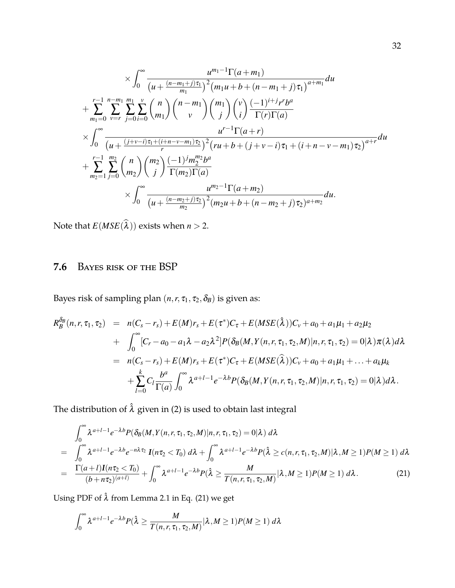$$
\times \int_0^{\infty} \frac{u^{m_1-1} \Gamma(a+m_1)}{(u+\frac{(n-m_1+j)\tau_1}{m_1})^2 (m_1u+b+(n-m_1+j)\tau_1)^{a+m_1}} du \n+ \sum_{m_1=0}^{r-1} \sum_{v=r}^{n-m_1} \sum_{j=0}^{m_1} \sum_{i=0}^{v} {n \choose m_1} {n-m_1 \choose v} {m_1 \choose j} {v \choose i} \frac{(-1)^{i+j}r^{r}b^{a}}{\Gamma(r)\Gamma(a)} \n\times \int_0^{\infty} \frac{u^{r-1} \Gamma(a+r)}{(u+\frac{(j+v-i)\tau_1+(i+n-v-m_1)\tau_2}{r})^2 (ru+b+(j+v-i)\tau_1+(i+n-v-m_1)\tau_2)^{a+r}} du \n+ \sum_{m_2=1}^{r-1} \sum_{j=0}^{m_2} {n \choose m_2} {m_2 \choose j} \frac{(-1)^j m_2^{m_2}b^{a}}{\Gamma(m_2)\Gamma(a)} \n\times \int_0^{\infty} \frac{u^{m_2-1} \Gamma(a+m_2)}{(u+\frac{(n-m_2+j)\tau_2}{m_2})^2 (m_2u+b+(n-m_2+j)\tau_2)^{a+m_2}} du.
$$

Note that  $E(MSE(\lambda))$  exists when  $n > 2$ .

## **7.6** Bayes risk of the BSP

Bayes risk of sampling plan  $(n, r, \tau_1, \tau_2, \delta_B)$  is given as:

$$
R_{B}^{\delta_{B}}(n, r, \tau_{1}, \tau_{2}) = n(C_{s} - r_{s}) + E(M)r_{s} + E(\tau^{*})C_{\tau} + E(MSE(\hat{\lambda}))C_{\nu} + a_{0} + a_{1}\mu_{1} + a_{2}\mu_{2} + \int_{0}^{\infty} [C_{r} - a_{0} - a_{1}\lambda - a_{2}\lambda^{2}]P(\delta_{B}(M, Y(n, r, \tau_{1}, \tau_{2}, M)|n, r, \tau_{1}, \tau_{2}) = 0|\lambda)\pi(\lambda)d\lambda = n(C_{s} - r_{s}) + E(M)r_{s} + E(\tau^{*})C_{\tau} + E(MSE(\hat{\lambda}))C_{\nu} + a_{0} + a_{1}\mu_{1} + ... + a_{k}\mu_{k} + \sum_{l=0}^{k} C_{l} \frac{b^{a}}{\Gamma(a)} \int_{0}^{\infty} \lambda^{a+l-1} e^{-\lambda b} P(\delta_{B}(M, Y(n, r, \tau_{1}, \tau_{2}, M)|n, r, \tau_{1}, \tau_{2}) = 0|\lambda)d\lambda.
$$

The distribution of  $\hat{\lambda}$  given in [\(2\)](#page-4-0) is used to obtain last integral

<span id="page-31-0"></span>
$$
\int_0^\infty \lambda^{a+l-1} e^{-\lambda b} P(\delta_B(M, Y(n, r, \tau_1, \tau_2, M)) | n, r, \tau_1, \tau_2) = 0 | \lambda) d\lambda
$$
\n
$$
= \int_0^\infty \lambda^{a+l-1} e^{-\lambda b} e^{-n\lambda \tau_2} I(n\tau_2 < T_0) d\lambda + \int_0^\infty \lambda^{a+l-1} e^{-\lambda b} P(\hat{\lambda} \ge c(n, r, \tau_1, \tau_2, M) | \lambda, M \ge 1) P(M \ge 1) d\lambda
$$
\n
$$
= \frac{\Gamma(a+l) I(n\tau_2 < T_0)}{(b+n\tau_2)^{(a+l)}} + \int_0^\infty \lambda^{a+l-1} e^{-\lambda b} P(\hat{\lambda} \ge \frac{M}{T(n, r, \tau_1, \tau_2, M)} | \lambda, M \ge 1) P(M \ge 1) d\lambda. \tag{21}
$$

Using PDF of  $\hat{\lambda}$  from Lemma [2.1](#page-5-0) in Eq. [\(21\)](#page-31-0) we get

$$
\int_0^\infty \lambda^{a+l-1} e^{-\lambda b} P(\hat{\lambda} \ge \frac{M}{T(n,r,\tau_1,\tau_2,M)} |\lambda, M \ge 1) P(M \ge 1) d\lambda
$$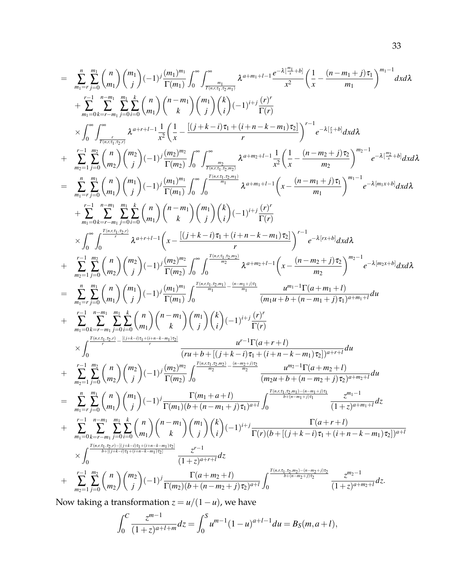$$
=\sum_{m_1=7}^{n}\sum_{j=0}^{m_1} {m_1 \choose m_1} {m_1 \choose j} (-1)^j \frac{(m_1)^{m_1}}{\Gamma(m_1)} \int_0^{\infty} \int_{\frac{m_1}{\Gamma(m+1)}}^{\infty} \int_{\frac{m_1}{\Gamma(m+1)}}^{\infty} \int_{\frac{m_1}{\Gamma(m+1)}}^{\infty} \int_{\frac{m_1}{\Gamma(m+1)}}^{\infty} \int_{\frac{m_1}{\Gamma(m+1)}}^{\infty} \int_{\frac{m_1}{\Gamma(m+1)}}^{\infty} \int_{m_1}^{\infty} \int_{-\pi}^{\infty} \frac{1}{m_1} \int_{\frac{m_1}{\Gamma(m+1)}}^{\infty} \int_{\frac{m_1}{\Gamma(m+1)}}^{\infty} \int_{\frac{m_1}{\Gamma(m+1)}}^{\infty} \int_{\frac{m_1}{\Gamma(m+1)}}^{\infty} \int_{\frac{m_1}{\Gamma(m+1)}}^{\infty} \int_{\frac{m_1}{\Gamma(m+1)}}^{\infty} \int_{\frac{m_1}{\Gamma(m+1)}}^{\infty} \int_{\frac{m_1}{\Gamma(m+1)}}^{\infty} \int_{\frac{m_1}{\Gamma(m+1)}}^{\infty} \int_{\frac{m_1}{\Gamma(m+1)}}^{\infty} \int_{\frac{m_1}{\Gamma(m+1)}}^{\infty} \int_{\frac{m_1}{\Gamma(m+1)}}^{\infty} \int_{\frac{m_1}{\Gamma(m+1)}}^{\infty} \int_{\frac{m_1}{\Gamma(m+1)}}^{\infty} \int_{\frac{m_1}{\Gamma(m+1)}}^{\infty} \int_{\frac{m_1}{\Gamma(m+1)}}^{\infty} \int_{\frac{m_1}{\Gamma(m+1)}}^{\infty} \int_{\frac{m_1}{\Gamma(m+1)}}^{\infty} \int_{\frac{m_1}{\Gamma(m+1)}}^{\infty} \int_{\frac{m_1}{\Gamma(m+1)}}^{\infty} \int_{\frac{m_1}{\Gamma(m+1)}}^{\infty} \int_{\frac{m_1}{\Gamma(m+1)}}^{\infty} \int_{\frac{m_1}{\Gamma(m+1)}}^{\infty} \int_{\frac{m_1}{\Gamma(m+1)}}^{\infty} \int_{\frac{m_1}{\Gamma(m+1)}}^{\infty} \int_{\
$$

Now taking a transformation  $z = u/(1 - u)$ , we have

$$
\int_0^C \frac{z^{m-1}}{(1+z)^{a+l+m}} dz = \int_0^S u^{m-1} (1-u)^{a+l-1} du = B_S(m, a+l),
$$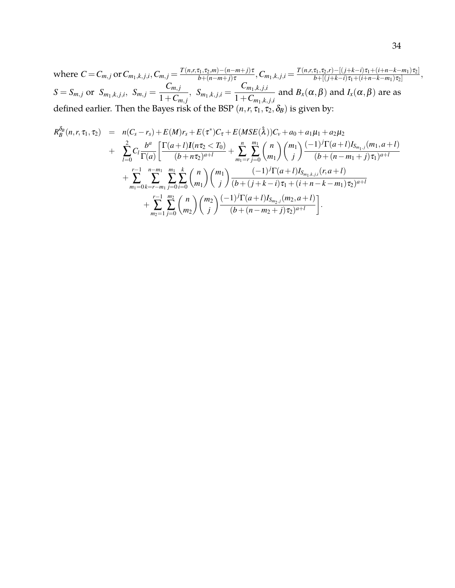$\text{where } C = C_{m,j} \text{ or } C_{m_1,k,j,i}, C_{m,j} = \frac{T(n,r,\tau_1,\tau_2,m) - (n-m+j)\tau}{b + (n-m+i)\tau}$  $\frac{\sigma_1,\sigma_2,m)-(n-m+j)\tau}{b+(n-m+j)\tau}, C_{m_1,k,j,i}=\frac{T(n,r,\tau_1,\tau_2,r)-[(j+k-i)\tau_1+(i+n-k-m_1)\tau_2]}{b+[(j+k-i)\tau_1+(i+n-k-m_1)\tau_2]}$  $\frac{b + [j+k-1] \tau_1 + (i+n-k-m_1) \tau_2}{b + [j+k-1] \tau_1 + (i+n-k-m_1) \tau_2},$  $S = S_{m,j}$  or  $S_{m_1,k,j,i}, S_{m,j} =$  $C_{m,j}$  $\frac{C_{m,j}}{1+C_{m,j}}, S_{m_1,k,j,i} =$ *Cm*1,*k*, *<sup>j</sup>*,*<sup>i</sup>*  $\frac{m_1, k, j, i}{1+C_{m_1,k,j,i}}$  and  $B_x(\alpha, \beta)$  and  $I_x(\alpha, \beta)$  are as defined earlier. Then the Bayes risk of the BSP  $(n, r, \tau_1, \tau_2, \delta_B)$  is given by:

$$
R_{B}^{\delta_{B}}(n,r,\tau_{1},\tau_{2}) = n(C_{s}-r_{s}) + E(M)r_{s} + E(\tau^{*})C_{\tau} + E(MSE(\hat{\lambda}))C_{\nu} + a_{0} + a_{1}\mu_{1} + a_{2}\mu_{2} + \sum_{l=0}^{2} C_{l} \frac{b^{a}}{\Gamma(a)} \left[ \frac{\Gamma(a+l)I(n\tau_{2} < T_{0})}{(b+n\tau_{2})^{a+l}} + \sum_{m_{1}=r}^{n} \sum_{j=0}^{m_{1}} {n \choose m_{1}} {m_{1} \choose j} \frac{(-1)^{j} \Gamma(a+l)I_{S_{m_{1},j}}(m_{1},a+l)}{(b+(n-m_{1}+j)\tau_{1})^{a+l}} + \sum_{m_{1}=0}^{r-1} \sum_{k=r-m_{1}}^{n-m_{1}} \sum_{j=0}^{m_{1}} \sum_{i=0}^{m_{1}} {n \choose m_{1}} {m_{1} \choose j} \frac{(-1)^{j} \Gamma(a+l)I_{S_{m_{1},k,j,i}}(r,a+l)}{(b+(j+k-i)\tau_{1}+(i+n-k-m_{1})\tau_{2})^{a+l}} + \sum_{m_{2}=1}^{r-1} \sum_{j=0}^{m_{2}} {n \choose m_{2}} {m_{2} \choose j} \frac{(-1)^{j} \Gamma(a+l)I_{S_{m_{2},j}}(m_{2},a+l)}{(b+(n-m_{2}+j)\tau_{2})^{a+l}}.
$$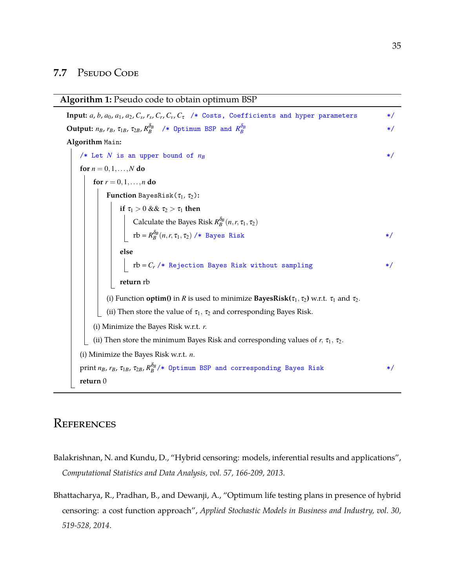#### 7.7 PSEUDO CODE

#### **Algorithm 1:** Pseudo code to obtain optimum BSP

**Input:** a, b, a<sub>0</sub>, a<sub>1</sub>, a<sub>2</sub>, C<sub>s</sub>, r<sub>s</sub>, C<sub>r</sub>, C<sub>v</sub>, C<sub>t</sub> /\* Costs, Coefficients and hyper parameters \*/  $\mathbf{Output:}$   $n_B$ ,  $r_B$ ,  $\tau_{1B}$ ,  $\tau_{2B}$ ,  $R^{\delta_B}_B$  /\* Optimum BSP and  $R^{\delta_B}_B$ \*/ **Algorithm** Main**:**  $/*$  Let *N* is an upper bound of  $n_B$  \*/\* **for**  $n = 0, 1, ..., N$  **do for**  $r = 0, 1, ..., n$  **do Function** BayesRisk $(\tau_1, \tau_2)$ : **if**  $\tau_1 > 0$  &&  $\tau_2 > \tau_1$  **then** Calculate the Bayes Risk  $R_B^{\delta_B}(n,r,\tau_1,\tau_2)$  $\text{rb} = R_B^{\delta_B}(n, r, \tau_1, \tau_2)$  /\* Bayes Risk \*/ **else**  $\mathbf{r} = C_r$  /\* Rejection Bayes Risk without sampling \*/ **return** rb (i) Function **optim()** in *R* is used to minimize **BayesRisk(** $\tau_1$ ,  $\tau_2$ ) w.r.t.  $\tau_1$  and  $\tau_2$ . (ii) Then store the value of  $\tau_1$ ,  $\tau_2$  and corresponding Bayes Risk. (i) Minimize the Bayes Risk w.r.t. *r*. (ii) Then store the minimum Bayes Risk and corresponding values of  $r$ ,  $\tau_1$ ,  $\tau_2$ . (i) Minimize the Bayes Risk w.r.t. *n*. print  $n_B$ ,  $r_B$ ,  $\tau_{1B}$ ,  $\tau_{2B}$ ,  $R_B^{\delta_B}/*$  Optimum BSP and corresponding Bayes Risk \*/ **return** 0

## **REFERENCES**

- <span id="page-34-1"></span>Balakrishnan, N. and Kundu, D., "Hybrid censoring: models, inferential results and applications", *Computational Statistics and Data Analysis, vol. 57, 166-209, 2013*.
- <span id="page-34-0"></span>Bhattacharya, R., Pradhan, B., and Dewanji, A., "Optimum life testing plans in presence of hybrid censoring: a cost function approach", *Applied Stochastic Models in Business and Industry, vol. 30, 519-528, 2014*.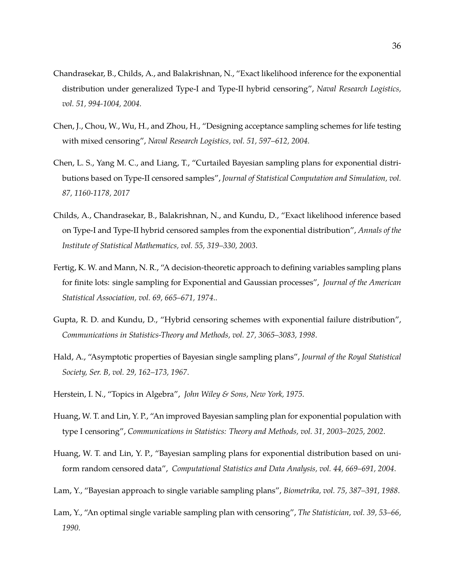- <span id="page-35-8"></span>Chandrasekar, B., Childs, A., and Balakrishnan, N., "Exact likelihood inference for the exponential distribution under generalized Type-I and Type-II hybrid censoring", *Naval Research Logistics, vol. 51, 994-1004, 2004*.
- <span id="page-35-4"></span>Chen, J., Chou, W., Wu, H., and Zhou, H., "Designing acceptance sampling schemes for life testing with mixed censoring", *Naval Research Logistics, vol. 51, 597–612, 2004*.
- <span id="page-35-10"></span>Chen, L. S., Yang M. C., and Liang, T., "Curtailed Bayesian sampling plans for exponential distributions based on Type-II censored samples", *Journal of Statistical Computation and Simulation, vol. 87, 1160-1178, 2017*
- <span id="page-35-7"></span>Childs, A., Chandrasekar, B., Balakrishnan, N., and Kundu, D., "Exact likelihood inference based on Type-I and Type-II hybrid censored samples from the exponential distribution", *Annals of the Institute of Statistical Mathematics, vol. 55, 319–330, 2003*.
- <span id="page-35-1"></span>Fertig, K. W. and Mann, N. R., "A decision-theoretic approach to defining variables sampling plans for finite lots: single sampling for Exponential and Gaussian processes", *Journal of the American Statistical Association, vol. 69, 665–671, 1974*..
- <span id="page-35-6"></span>Gupta, R. D. and Kundu, D., "Hybrid censoring schemes with exponential failure distribution", *Communications in Statistics-Theory and Methods, vol. 27, 3065–3083, 1998*.
- <span id="page-35-0"></span>Hald, A., "Asymptotic properties of Bayesian single sampling plans", *Journal of the Royal Statistical Society, Ser. B, vol. 29, 162–173, 1967*.
- <span id="page-35-11"></span>Herstein, I. N., "Topics in Algebra", *John Wiley & Sons, New York, 1975*.
- <span id="page-35-3"></span>Huang, W. T. and Lin, Y. P., "An improved Bayesian sampling plan for exponential population with type I censoring", *Communications in Statistics: Theory and Methods, vol. 31, 2003–2025, 2002*.
- <span id="page-35-5"></span>Huang, W. T. and Lin, Y. P., "Bayesian sampling plans for exponential distribution based on uniform random censored data", *Computational Statistics and Data Analysis, vol. 44, 669–691, 2004*.
- <span id="page-35-2"></span>Lam, Y., "Bayesian approach to single variable sampling plans", *Biometrika, vol. 75, 387–391, 1988*.
- <span id="page-35-9"></span>Lam, Y., "An optimal single variable sampling plan with censoring", *The Statistician, vol. 39, 53–66, 1990*.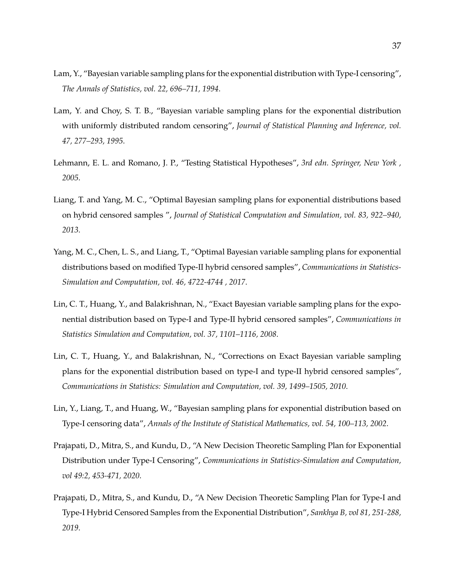- <span id="page-36-0"></span>Lam, Y., "Bayesian variable sampling plans for the exponential distribution with Type-I censoring", *The Annals of Statistics, vol. 22, 696–711, 1994*.
- <span id="page-36-7"></span>Lam, Y. and Choy, S. T. B., "Bayesian variable sampling plans for the exponential distribution with uniformly distributed random censoring", *Journal of Statistical Planning and Inference, vol. 47, 277–293, 1995*.
- <span id="page-36-8"></span>Lehmann, E. L. and Romano, J. P., "Testing Statistical Hypotheses", *3rd edn. Springer, New York , 2005*.
- <span id="page-36-3"></span>Liang, T. and Yang, M. C., "Optimal Bayesian sampling plans for exponential distributions based on hybrid censored samples ", *Journal of Statistical Computation and Simulation, vol. 83, 922–940, 2013*.
- <span id="page-36-4"></span>Yang, M. C., Chen, L. S., and Liang, T., "Optimal Bayesian variable sampling plans for exponential distributions based on modified Type-II hybrid censored samples", *Communications in Statistics-Simulation and Computation, vol. 46, 4722-4744 , 2017*.
- <span id="page-36-2"></span>Lin, C. T., Huang, Y., and Balakrishnan, N., "Exact Bayesian variable sampling plans for the exponential distribution based on Type-I and Type-II hybrid censored samples", *Communications in Statistics Simulation and Computation, vol. 37, 1101–1116, 2008*.
- Lin, C. T., Huang, Y., and Balakrishnan, N., "Corrections on Exact Bayesian variable sampling plans for the exponential distribution based on type-I and type-II hybrid censored samples", *Communications in Statistics: Simulation and Computation, vol. 39, 1499–1505, 2010*.
- <span id="page-36-1"></span>Lin, Y., Liang, T., and Huang, W., "Bayesian sampling plans for exponential distribution based on Type-I censoring data", *Annals of the Institute of Statistical Mathematics, vol. 54, 100–113, 2002*.
- <span id="page-36-5"></span>Prajapati, D., Mitra, S., and Kundu, D., "A New Decision Theoretic Sampling Plan for Exponential Distribution under Type-I Censoring", *Communications in Statistics-Simulation and Computation, vol 49:2, 453-471, 2020*.
- <span id="page-36-6"></span>Prajapati, D., Mitra, S., and Kundu, D., "A New Decision Theoretic Sampling Plan for Type-I and Type-I Hybrid Censored Samples from the Exponential Distribution", *Sankhya B, vol 81, 251-288, 2019*.